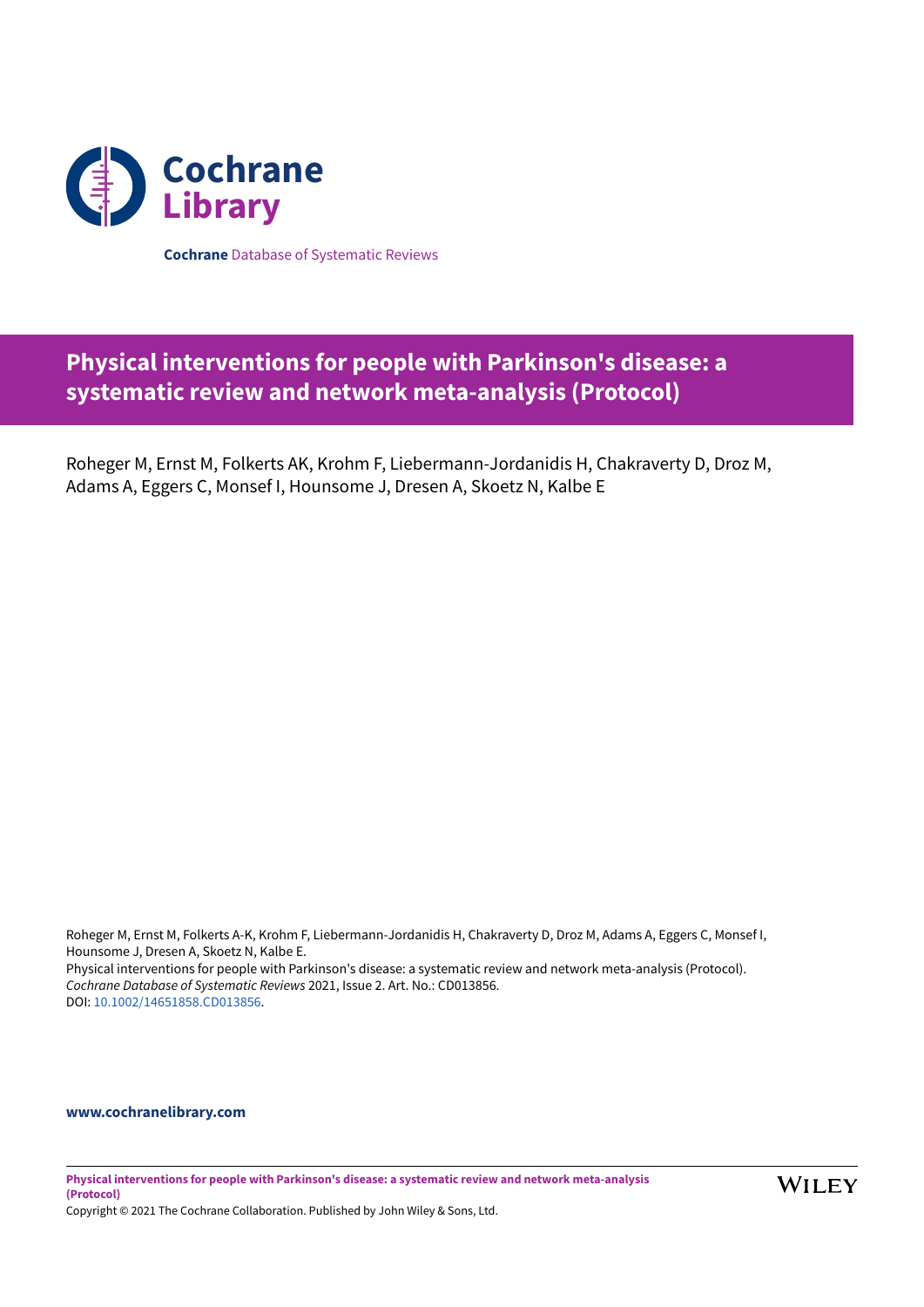

**Cochrane** Database of Systematic Reviews

# **Physical interventions for people with Parkinson's disease: a systematic review and network meta-analysis (Protocol)**

Roheger M, Ernst M, Folkerts AK, Krohm F, Liebermann-Jordanidis H, Chakraverty D, Droz M, Adams A, Eggers C, Monsef I, Hounsome J, Dresen A, Skoetz N, Kalbe E

Roheger M, Ernst M, Folkerts A-K, Krohm F, Liebermann-Jordanidis H, Chakraverty D, Droz M, Adams A, Eggers C, Monsef I, Hounsome J, Dresen A, Skoetz N, Kalbe E. Physical interventions for people with Parkinson's disease: a systematic review and network meta-analysis (Protocol). *Cochrane Database of Systematic Reviews* 2021, Issue 2. Art. No.: CD013856. DOI: [10.1002/14651858.CD013856](https://doi.org/10.1002%2F14651858.CD013856).

# **[www.cochranelibrary.com](https://www.cochranelibrary.com)**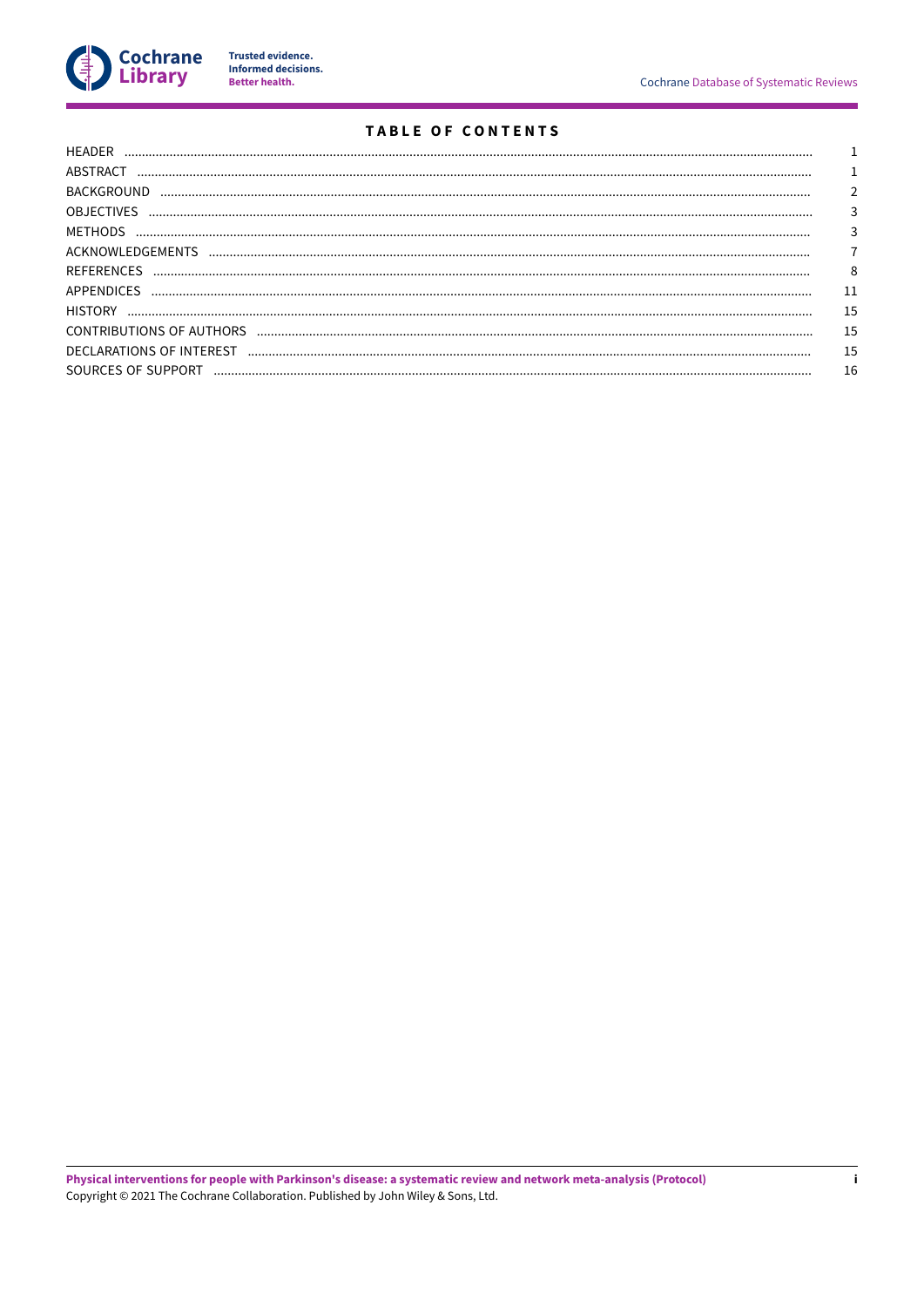

Trusted evidence.<br>Informed decisions.<br>Better health.

# **TABLE OF CONTENTS**

| <b>HFADFR</b>            |    |
|--------------------------|----|
| ABSTRACT                 |    |
| <b>BACKGROUND</b>        |    |
| <b>OBJECTIVES</b>        |    |
| MFTHODS                  |    |
| ACKNOWLEDGEMENTS         |    |
| <b>REFERENCES</b>        | 8  |
| APPENDICES               |    |
| <b>HISTORY</b>           | 15 |
| CONTRIBUTIONS OF AUTHORS | 15 |
| DECLARATIONS OF INTEREST | 15 |
| SOURCES OF SUPPORT       | 16 |
|                          |    |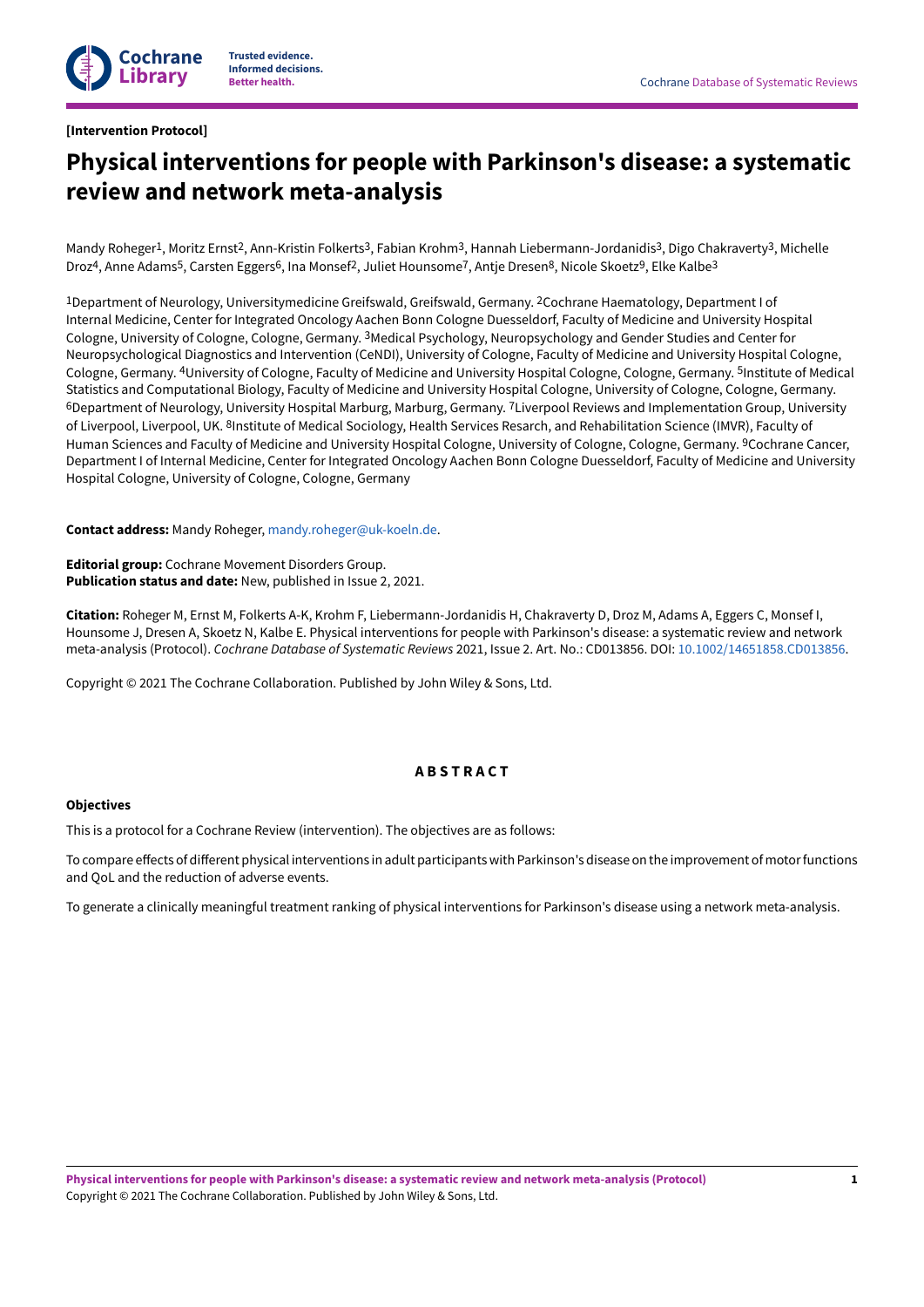## <span id="page-2-0"></span>**[Intervention Protocol]**

# **Physical interventions for people with Parkinson's disease: a systematic review and network meta-analysis**

Mandy Roheger<sup>1</sup>, Moritz Ernst<sup>2</sup>, Ann-Kristin Folkerts<sup>3</sup>, Fabian Krohm<sup>3</sup>, Hannah Liebermann-Jordanidis<sup>3</sup>, Digo Chakraverty<sup>3</sup>, Michelle Droz<sup>4</sup>, Anne Adams<sup>5</sup>, Carsten Eggers<sup>6</sup>, Ina Monsef<sup>2</sup>, Juliet Hounsome<sup>7</sup>, Antje Dresen<sup>8</sup>, Nicole Skoetz<sup>9</sup>, Elke Kalbe<sup>3</sup>

<sup>1</sup>Department of Neurology, Universitymedicine Greifswald, Greifswald, Germany. <sup>2</sup>Cochrane Haematology, Department I of Internal Medicine, Center for Integrated Oncology Aachen Bonn Cologne Duesseldorf, Faculty of Medicine and University Hospital Cologne, University of Cologne, Cologne, Germany. <sup>3</sup>Medical Psychology, Neuropsychology and Gender Studies and Center for Neuropsychological Diagnostics and Intervention (CeNDI), University of Cologne, Faculty of Medicine and University Hospital Cologne, Cologne, Germany. 4University of Cologne, Faculty of Medicine and University Hospital Cologne, Cologne, Germany. 5Institute of Medical Statistics and Computational Biology, Faculty of Medicine and University Hospital Cologne, University of Cologne, Cologne, Germany. <sup>6</sup>Department of Neurology, University Hospital Marburg, Marburg, Germany. <sup>7</sup>Liverpool Reviews and Implementation Group, University of Liverpool, Liverpool, UK. <sup>8</sup>Institute of Medical Sociology, Health Services Resarch, and Rehabilitation Science (IMVR), Faculty of Human Sciences and Faculty of Medicine and University Hospital Cologne, University of Cologne, Cologne, Germany. <sup>9</sup>Cochrane Cancer, Department I of Internal Medicine, Center for Integrated Oncology Aachen Bonn Cologne Duesseldorf, Faculty of Medicine and University Hospital Cologne, University of Cologne, Cologne, Germany

**Contact address:** Mandy Roheger, [mandy.roheger@uk-koeln.de.](mailto:mandy.roheger@uk-koeln.de)

**Editorial group:** Cochrane Movement Disorders Group. **Publication status and date:** New, published in Issue 2, 2021.

**Citation:** Roheger M, Ernst M, Folkerts A-K, Krohm F, Liebermann-Jordanidis H, Chakraverty D, Droz M, Adams A, Eggers C, Monsef I, Hounsome J, Dresen A, Skoetz N, Kalbe E. Physical interventions for people with Parkinson's disease: a systematic review and network meta-analysis (Protocol). *Cochrane Database of Systematic Reviews* 2021, Issue 2. Art. No.: CD013856. DOI: [10.1002/14651858.CD013856.](https://doi.org/10.1002%2F14651858.CD013856)

Copyright © 2021 The Cochrane Collaboration. Published by John Wiley & Sons, Ltd.

# **A B S T R A C T**

## <span id="page-2-1"></span>**Objectives**

This is a protocol for a Cochrane Review (intervention). The objectives are as follows:

To compare effects of different physical interventions in adult participants with Parkinson's disease on the improvement of motor functions and QoL and the reduction of adverse events.

To generate a clinically meaningful treatment ranking of physical interventions for Parkinson's disease using a network meta-analysis.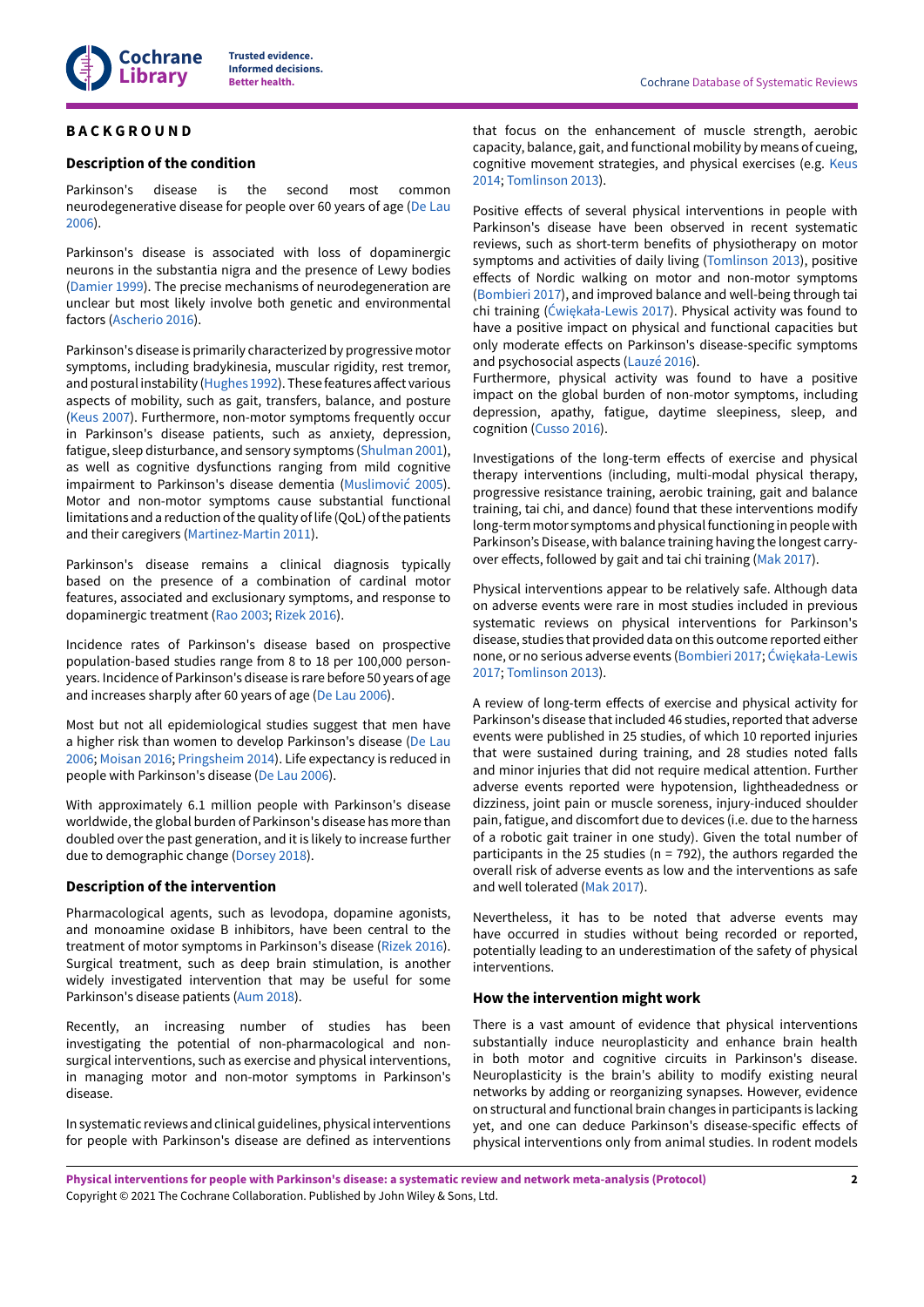# <span id="page-3-0"></span>**B A C K G R O U N D**

## **Description of the condition**

Parkinson's disease is the second most common neurodegenerative disease for people over 60 years of age ([De Lau](#page-9-1) [2006](#page-9-1)).

Parkinson's disease is associated with loss of dopaminergic neurons in the substantia nigra and the presence of Lewy bodies [\(Damier 1999\)](#page-9-2). The precise mechanisms of neurodegeneration are unclear but most likely involve both genetic and environmental factors ([Ascherio](#page-9-3) 2016).

Parkinson's disease is primarily characterized by progressive motor symptoms, including bradykinesia, muscular rigidity, rest tremor, and postural instability ([Hughes 1992](#page-10-0)). These features affect various aspects of mobility, such as gait, transfers, balance, and posture [\(Keus](#page-10-1) 2007). Furthermore, non-motor symptoms frequently occur in Parkinson's disease patients, such as anxiety, depression, fatigue, sleep disturbance, and sensory symptoms [\(Shulman 2001\)](#page-11-0), as well as cognitive dysfunctions ranging from mild cognitive impairment to Parkinson's disease dementia ([Muslimović](#page-10-2) 2005). Motor and non-motor symptoms cause substantial functional limitations and a reduction of the quality of life (QoL) of the patients and their caregivers [\(Martinez-Martin](#page-10-3) 2011).

Parkinson's disease remains a clinical diagnosis typically based on the presence of a combination of cardinal motor features, associated and exclusionary symptoms, and response to dopaminergic treatment (Rao [2003](#page-11-1); [Rizek](#page-11-2) 2016).

Incidence rates of Parkinson's disease based on prospective population-based studies range from 8 to 18 per 100,000 personyears. Incidence of Parkinson's disease is rare before 50 years of age and increases sharply after 60 years of age [\(De Lau 2006](#page-9-1)).

Most but not all epidemiological studies suggest that men have a higher risk than women to develop Parkinson's disease [\(De Lau](#page-9-1) [2006](#page-9-1); [Moisan 2016;](#page-10-4) [Pringsheim 2014](#page-11-3)). Life expectancy is reduced in people with Parkinson's disease ([De Lau 2006\)](#page-9-1).

With approximately 6.1 million people with Parkinson's disease worldwide, the global burden of Parkinson's disease has more than doubled over the past generation, and it is likely to increase further due to demographic change ([Dorsey](#page-9-4) 2018).

#### **Description of the intervention**

Pharmacological agents, such as levodopa, dopamine agonists, and monoamine oxidase B inhibitors, have been central to the treatment of motor symptoms in Parkinson's disease ([Rizek](#page-11-2) 2016). Surgical treatment, such as deep brain stimulation, is another widely investigated intervention that may be useful for some Parkinson's disease patients (Aum [2018\)](#page-9-5).

Recently, an increasing number of studies has been investigating the potential of non-pharmacological and nonsurgical interventions, such as exercise and physical interventions, in managing motor and non-motor symptoms in Parkinson's disease.

In systematic reviews and clinical guidelines, physical interventions for people with Parkinson's disease are defined as interventions

that focus on the enhancement of muscle strength, aerobic capacity, balance, gait, and functional mobility by means of cueing, cognitive movement strategies, and physical exercises (e.g. [Keus](#page-10-5) [2014;](#page-10-5) [Tomlinson](#page-11-4) 2013).

Positive effects of several physical interventions in people with Parkinson's disease have been observed in recent systematic reviews, such as short-term benefits of physiotherapy on motor symptoms and activities of daily living ([Tomlinson](#page-11-4) 2013), positive effects of Nordic walking on motor and non-motor symptoms [\(Bombieri 2017\)](#page-9-6), and improved balance and well-being through tai chi training [\(Ćwiękała-Lewis](#page-9-7) 2017). Physical activity was found to have a positive impact on physical and functional capacities but only moderate effects on Parkinson's disease-specific symptoms and psychosocial aspects [\(Lauzé](#page-10-6) 2016).

Furthermore, physical activity was found to have a positive impact on the global burden of non-motor symptoms, including depression, apathy, fatigue, daytime sleepiness, sleep, and cognition ([Cusso](#page-9-8) 2016).

Investigations of the long-term effects of exercise and physical therapy interventions (including, multi-modal physical therapy, progressive resistance training, aerobic training, gait and balance training, tai chi, and dance) found that these interventions modify long-term motor symptoms and physical functioning in people with Parkinson's Disease, with balance training having the longest carry-over effects, followed by gait and tai chi training ([Mak 2017](#page-10-7)).

Physical interventions appear to be relatively safe. Although data on adverse events were rare in most studies included in previous systematic reviews on physical interventions for Parkinson's disease, studies that provided data on this outcome reported either none, or no serious adverse events [\(Bombieri 2017](#page-9-6); [Ćwiękała-Lewis](#page-9-7) [2017;](#page-9-7) [Tomlinson](#page-11-4) 2013).

A review of long-term effects of exercise and physical activity for Parkinson's disease that included 46 studies, reported that adverse events were published in 25 studies, of which 10 reported injuries that were sustained during training, and 28 studies noted falls and minor injuries that did not require medical attention. Further adverse events reported were hypotension, lightheadedness or dizziness, joint pain or muscle soreness, injury-induced shoulder pain, fatigue, and discomfort due to devices (i.e. due to the harness of a robotic gait trainer in one study). Given the total number of participants in the 25 studies ( $n = 792$ ), the authors regarded the overall risk of adverse events as low and the interventions as safe and well tolerated [\(Mak 2017](#page-10-7)).

Nevertheless, it has to be noted that adverse events may have occurred in studies without being recorded or reported, potentially leading to an underestimation of the safety of physical interventions.

## **How the intervention might work**

There is a vast amount of evidence that physical interventions substantially induce neuroplasticity and enhance brain health in both motor and cognitive circuits in Parkinson's disease. Neuroplasticity is the brain's ability to modify existing neural networks by adding or reorganizing synapses. However, evidence on structural and functional brain changes in participants is lacking yet, and one can deduce Parkinson's disease-specific effects of physical interventions only from animal studies. In rodent models

**Physical interventions for people with Parkinson's disease: a systematic review and network meta-analysis (Protocol)** Copyright © 2021 The Cochrane Collaboration. Published by John Wiley & Sons, Ltd.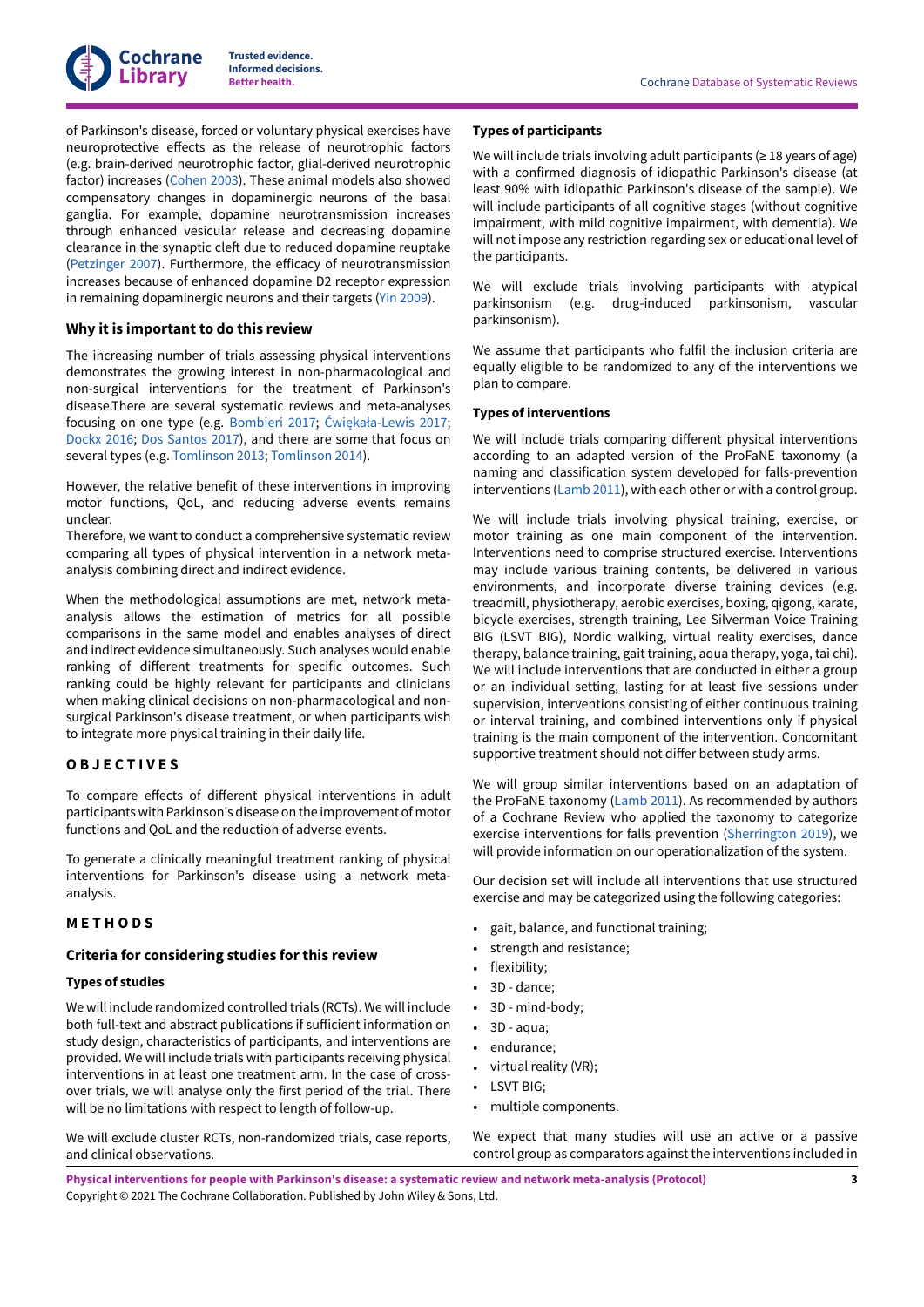

of Parkinson's disease, forced or voluntary physical exercises have neuroprotective effects as the release of neurotrophic factors (e.g. brain-derived neurotrophic factor, glial-derived neurotrophic factor) increases [\(Cohen 2003\)](#page-9-9). These animal models also showed compensatory changes in dopaminergic neurons of the basal ganglia. For example, dopamine neurotransmission increases through enhanced vesicular release and decreasing dopamine clearance in the synaptic cleft due to reduced dopamine reuptake [\(Petzinger](#page-11-5) 2007). Furthermore, the efficacy of neurotransmission increases because of enhanced dopamine D2 receptor expression in remaining dopaminergic neurons and their targets ([Yin 2009\)](#page-12-1).

#### **Why it is important to do this review**

The increasing number of trials assessing physical interventions demonstrates the growing interest in non-pharmacological and non-surgical interventions for the treatment of Parkinson's disease.There are several systematic reviews and meta-analyses focusing on one type (e.g. [Bombieri 2017;](#page-9-6) [Ćwiękała-Lewis](#page-9-7) 2017; [Dockx](#page-9-10) 2016; Dos [Santos](#page-9-11) 2017), and there are some that focus on several types (e.g. [Tomlinson](#page-11-4) 2013; [Tomlinson](#page-11-6) 2014).

However, the relative benefit of these interventions in improving motor functions, QoL, and reducing adverse events remains unclear.

Therefore, we want to conduct a comprehensive systematic review comparing all types of physical intervention in a network metaanalysis combining direct and indirect evidence.

When the methodological assumptions are met, network metaanalysis allows the estimation of metrics for all possible comparisons in the same model and enables analyses of direct and indirect evidence simultaneously. Such analyses would enable ranking of different treatments for specific outcomes. Such ranking could be highly relevant for participants and clinicians when making clinical decisions on non-pharmacological and nonsurgical Parkinson's disease treatment, or when participants wish to integrate more physical training in their daily life.

## <span id="page-4-0"></span>**O B J E C T I V E S**

To compare effects of different physical interventions in adult participants with Parkinson's disease on the improvement of motor functions and QoL and the reduction of adverse events.

To generate a clinically meaningful treatment ranking of physical interventions for Parkinson's disease using a network metaanalysis.

# <span id="page-4-1"></span>**M E T H O D S**

## **Criteria for considering studies for this review**

#### **Types of studies**

We will include randomized controlled trials (RCTs). We will include both full-text and abstract publications if sufficient information on study design, characteristics of participants, and interventions are provided. We will include trials with participants receiving physical interventions in at least one treatment arm. In the case of crossover trials, we will analyse only the first period of the trial. There will be no limitations with respect to length of follow-up.

We will exclude cluster RCTs, non-randomized trials, case reports, and clinical observations.

## **Types of participants**

We will include trials involving adult participants ( $\geq 18$  years of age) with a confirmed diagnosis of idiopathic Parkinson's disease (at least 90% with idiopathic Parkinson's disease of the sample). We will include participants of all cognitive stages (without cognitive impairment, with mild cognitive impairment, with dementia). We will not impose any restriction regarding sex or educational level of the participants.

We will exclude trials involving participants with atypical parkinsonism (e.g. drug-induced parkinsonism, vascular parkinsonism).

We assume that participants who fulfil the inclusion criteria are equally eligible to be randomized to any of the interventions we plan to compare.

#### **Types of interventions**

We will include trials comparing different physical interventions according to an adapted version of the ProFaNE taxonomy (a naming and classification system developed for falls-prevention interventions [\(Lamb 2011](#page-10-8)), with each other or with a control group.

We will include trials involving physical training, exercise, or motor training as one main component of the intervention. Interventions need to comprise structured exercise. Interventions may include various training contents, be delivered in various environments, and incorporate diverse training devices (e.g. treadmill, physiotherapy, aerobic exercises, boxing, qigong, karate, bicycle exercises, strength training, Lee Silverman Voice Training BIG (LSVT BIG), Nordic walking, virtual reality exercises, dance therapy, balance training, gait training, aqua therapy, yoga, tai chi). We will include interventions that are conducted in either a group or an individual setting, lasting for at least five sessions under supervision, interventions consisting of either continuous training or interval training, and combined interventions only if physical training is the main component of the intervention. Concomitant supportive treatment should not differ between study arms.

We will group similar interventions based on an adaptation of the ProFaNE taxonomy ([Lamb 2011](#page-10-8)). As recommended by authors of a Cochrane Review who applied the taxonomy to categorize exercise interventions for falls prevention ([Sherrington](#page-11-7) 2019), we will provide information on our operationalization of the system.

Our decision set will include all interventions that use structured exercise and may be categorized using the following categories:

- gait, balance, and functional training;
- strength and resistance;
- flexibility;
- 3D dance;
- 3D mind-body;
- 3D aqua;
- endurance:
- virtual reality (VR);
- LSVT BIG;
- multiple components.

We expect that many studies will use an active or a passive control group as comparators against the interventions included in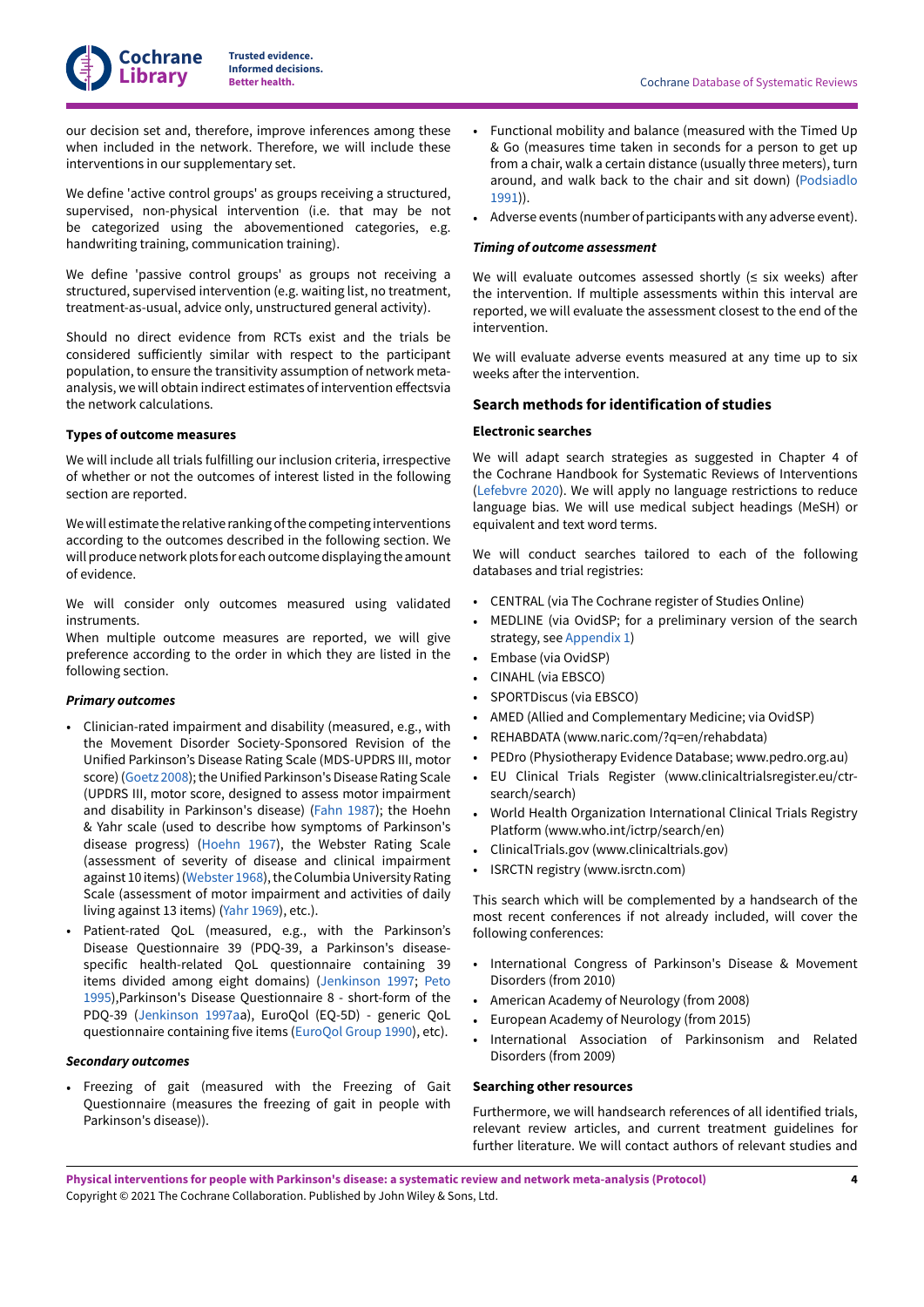our decision set and, therefore, improve inferences among these when included in the network. Therefore, we will include these interventions in our supplementary set.

We define 'active control groups' as groups receiving a structured, supervised, non-physical intervention (i.e. that may be not be categorized using the abovementioned categories, e.g. handwriting training, communication training).

We define 'passive control groups' as groups not receiving a structured, supervised intervention (e.g. waiting list, no treatment, treatment-as-usual, advice only, unstructured general activity).

Should no direct evidence from RCTs exist and the trials be considered sufficiently similar with respect to the participant population, to ensure the transitivity assumption of network metaanalysis, we will obtain indirect estimates of intervention effectsvia the network calculations.

## **Types of outcome measures**

**Cochrane Library**

We will include all trials fulfilling our inclusion criteria, irrespective of whether or not the outcomes of interest listed in the following section are reported.

Wewill estimate the relative rankingofthe competing interventions according to the outcomes described in the following section. We will produce network plots for each outcome displaying the amount of evidence.

We will consider only outcomes measured using validated instruments.

When multiple outcome measures are reported, we will give preference according to the order in which they are listed in the following section.

#### *Primary outcomes*

- Clinician-rated impairment and disability (measured, e.g., with the Movement Disorder Society-Sponsored Revision of the Unified Parkinson's Disease Rating Scale (MDS-UPDRS III, motor score) ([Goetz](#page-9-12) 2008); the Unified Parkinson's Disease Rating Scale (UPDRS III, motor score, designed to assess motor impairment and disability in Parkinson's disease) [\(Fahn](#page-9-13) 1987); the Hoehn & Yahr scale (used to describe how symptoms of Parkinson's disease progress) ([Hoehn 1967\)](#page-9-14), the Webster Rating Scale (assessment of severity of disease and clinical impairment against 10 items) ([Webster](#page-11-8) 1968), the Columbia University Rating Scale (assessment of motor impairment and activities of daily living against 13 items) (Yahr [1969\)](#page-11-9), etc.).
- Patient-rated QoL (measured, e.g., with the Parkinson's Disease Questionnaire 39 (PDQ-39, a Parkinson's diseasespecific health-related QoL questionnaire containing 39 items divided among eight domains) [\(Jenkinson 1997](#page-10-9); [Peto](#page-11-10) [1995\)](#page-11-10),Parkinson's Disease Questionnaire 8 - short-form of the PDQ-39 [\(Jenkinson 1997aa](#page-10-10)), EuroQol (EQ-5D) - generic QoL questionnaire containing five items [\(EuroQol](#page-9-15) Group 1990), etc).

#### *Secondary outcomes*

• Freezing of gait (measured with the Freezing of Gait Questionnaire (measures the freezing of gait in people with Parkinson's disease)).

- Functional mobility and balance (measured with the Timed Up & Go (measures time taken in seconds for a person to get up from a chair, walk a certain distance (usually three meters), turn around, and walk back to the chair and sit down) [\(Podsiadlo](#page-11-11) [1991\)](#page-11-11)).
- Adverse events (number of participants with any adverse event).

#### *Timing of outcome assessment*

We will evaluate outcomes assessed shortly  $(s$  six weeks) after the intervention. If multiple assessments within this interval are reported, we will evaluate the assessment closest to the end of the intervention.

We will evaluate adverse events measured at any time up to six weeks after the intervention.

## **Search methods for identification of studies**

## **Electronic searches**

We will adapt search strategies as suggested in Chapter 4 of the Cochrane Handbook for Systematic Reviews of Interventions [\(Lefebvre](#page-10-11) 2020). We will apply no language restrictions to reduce language bias. We will use medical subject headings (MeSH) or equivalent and text word terms.

We will conduct searches tailored to each of the following databases and trial registries:

- CENTRAL (via The Cochrane register of Studies Online)
- MEDLINE (via OvidSP; for a preliminary version of the search strategy, see [Appendix 1](#page-12-2))
- Embase (via OvidSP)
- CINAHL (via EBSCO)
- SPORTDiscus (via EBSCO)
- AMED (Allied and Complementary Medicine; via OvidSP)
- REHABDATA (www.naric.com/?q=en/rehabdata)
- PEDro (Physiotherapy Evidence Database; www.pedro.org.au)
- EU Clinical Trials Register (www.clinicaltrialsregister.eu/ctrsearch/search)
- World Health Organization International Clinical Trials Registry Platform (www.who.int/ictrp/search/en)
- ClinicalTrials.gov (www.clinicaltrials.gov)
- ISRCTN registry (www.isrctn.com)

This search which will be complemented by a handsearch of the most recent conferences if not already included, will cover the following conferences:

- International Congress of Parkinson's Disease & Movement Disorders (from 2010)
- American Academy of Neurology (from 2008)
- European Academy of Neurology (from 2015)
- International Association of Parkinsonism and Related Disorders (from 2009)

#### **Searching other resources**

Furthermore, we will handsearch references of all identified trials, relevant review articles, and current treatment guidelines for further literature. We will contact authors of relevant studies and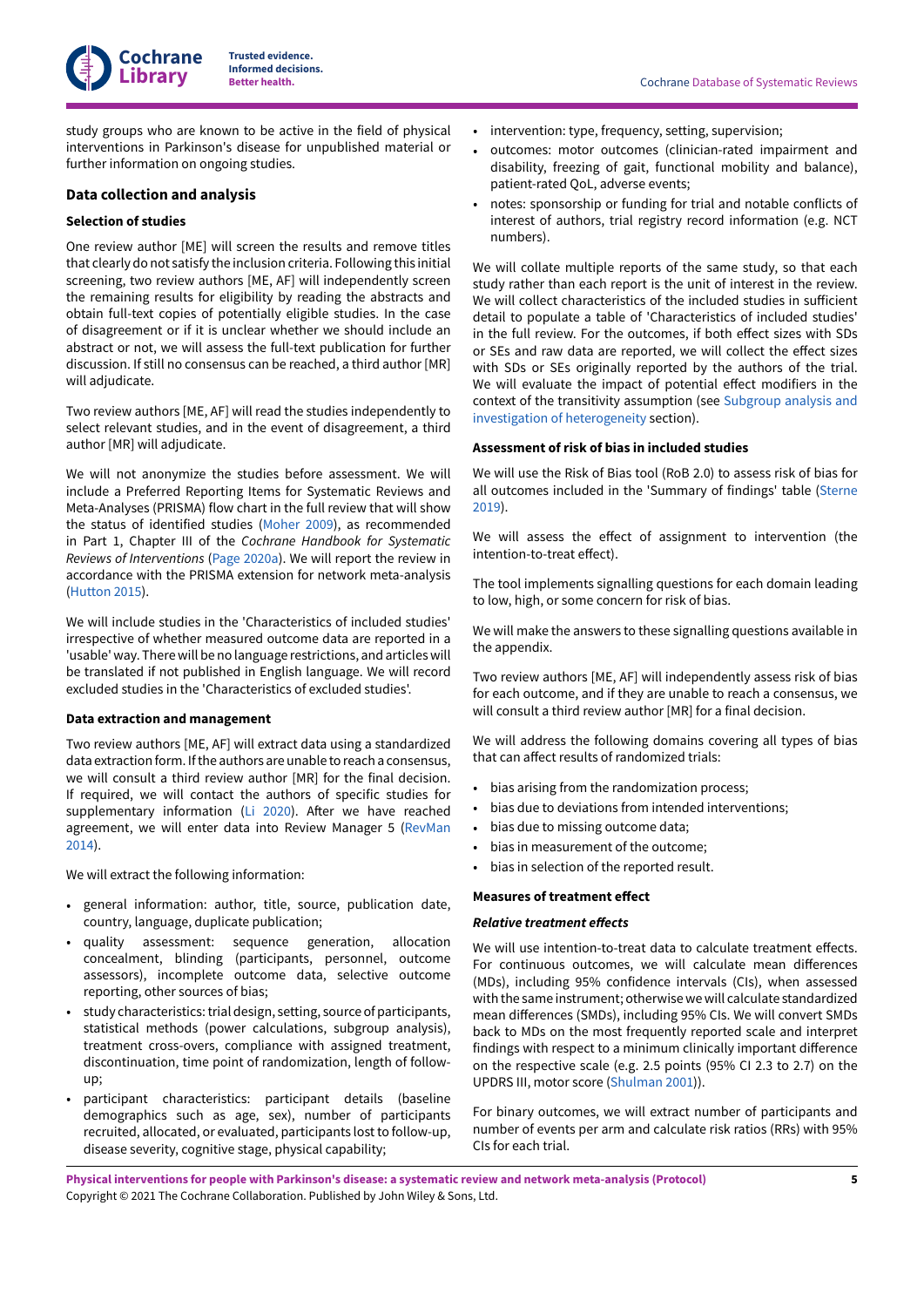study groups who are known to be active in the field of physical interventions in Parkinson's disease for unpublished material or further information on ongoing studies.

## **Data collection and analysis**

**Cochrane Library**

#### **Selection of studies**

One review author [ME] will screen the results and remove titles that clearly do not satisfy the inclusion criteria. Following this initial screening, two review authors [ME, AF] will independently screen the remaining results for eligibility by reading the abstracts and obtain full-text copies of potentially eligible studies. In the case of disagreement or if it is unclear whether we should include an abstract or not, we will assess the full-text publication for further discussion. If still no consensus can be reached, a third author [MR] will adjudicate.

Two review authors [ME, AF] will read the studies independently to select relevant studies, and in the event of disagreement, a third author [MR] will adjudicate.

We will not anonymize the studies before assessment. We will include a Preferred Reporting Items for Systematic Reviews and Meta-Analyses (PRISMA) flow chart in the full review that will show the status of identified studies [\(Moher 2009\)](#page-10-12), as recommended in Part 1, Chapter III of the *Cochrane Handbook for Systematic Reviews of Interventions* (Page [2020a](#page-10-13)). We will report the review in accordance with the PRISMA extension for network meta-analysis [\(Hutton](#page-10-14) 2015).

We will include studies in the 'Characteristics of included studies' irrespective of whether measured outcome data are reported in a 'usable' way. There will be no language restrictions, and articles will be translated if not published in English language. We will record excluded studies in the 'Characteristics of excluded studies'.

## **Data extraction and management**

Two review authors [ME, AF] will extract data using a standardized data extraction form. If the authors are unable to reach a consensus, we will consult a third review author [MR] for the final decision. If required, we will contact the authors of specific studies for supplementary information ([Li 2020\)](#page-10-15). After we have reached agreement, we will enter data into Review Manager 5 ([RevMan](#page-11-12) [2014](#page-11-12)).

We will extract the following information:

- general information: author, title, source, publication date, country, language, duplicate publication;
- quality assessment: sequence generation, allocation concealment, blinding (participants, personnel, outcome assessors), incomplete outcome data, selective outcome reporting, other sources of bias;
- study characteristics: trial design, setting, source of participants, statistical methods (power calculations, subgroup analysis), treatment cross-overs, compliance with assigned treatment, discontinuation, time point of randomization, length of followup;
- participant characteristics: participant details (baseline demographics such as age, sex), number of participants recruited, allocated, or evaluated, participants lost to follow-up, disease severity, cognitive stage, physical capability;
- intervention: type, frequency, setting, supervision;
- outcomes: motor outcomes (clinician-rated impairment and disability, freezing of gait, functional mobility and balance), patient-rated QoL, adverse events;
- notes: sponsorship or funding for trial and notable conflicts of interest of authors, trial registry record information (e.g. NCT numbers).

We will collate multiple reports of the same study, so that each study rather than each report is the unit of interest in the review. We will collect characteristics of the included studies in sufficient detail to populate a table of 'Characteristics of included studies' in the full review. For the outcomes, if both effect sizes with SDs or SEs and raw data are reported, we will collect the effect sizes with SDs or SEs originally reported by the authors of the trial. We will evaluate the impact of potential effect modifiers in the context of the transitivity assumption (see [Subgroup](#page-8-1) analysis and investigation of [heterogeneity](#page-8-1) section).

## **Assessment of risk of bias in included studies**

We will use the Risk of Bias tool (RoB 2.0) to assess risk of bias for all outcomes included in the 'Summary of findings' table [\(Sterne](#page-11-13) [2019\)](#page-11-13).

We will assess the effect of assignment to intervention (the intention-to-treat effect).

The tool implements signalling questions for each domain leading to low, high, or some concern for risk of bias.

We will make the answers to these signalling questions available in the appendix.

Two review authors [ME, AF] will independently assess risk of bias for each outcome, and if they are unable to reach a consensus, we will consult a third review author [MR] for a final decision.

We will address the following domains covering all types of bias that can affect results of randomized trials:

- bias arising from the randomization process;
- bias due to deviations from intended interventions;
- bias due to missing outcome data;
- bias in measurement of the outcome;
- bias in selection of the reported result.

#### **Measures of treatment effect**

#### **Relative treatment effects**

We will use intention-to-treat data to calculate treatment effects. For continuous outcomes, we will calculate mean differences (MDs), including 95% confidence intervals (CIs), when assessed with the same instrument; otherwise we will calculate standardized mean differences (SMDs), including 95% CIs. We will convert SMDs back to MDs on the most frequently reported scale and interpret findings with respect to a minimum clinically important difference on the respective scale (e.g. 2.5 points (95% CI 2.3 to 2.7) on the UPDRS III, motor score [\(Shulman 2001\)](#page-11-0)).

For binary outcomes, we will extract number of participants and number of events per arm and calculate risk ratios (RRs) with 95% CIs for each trial.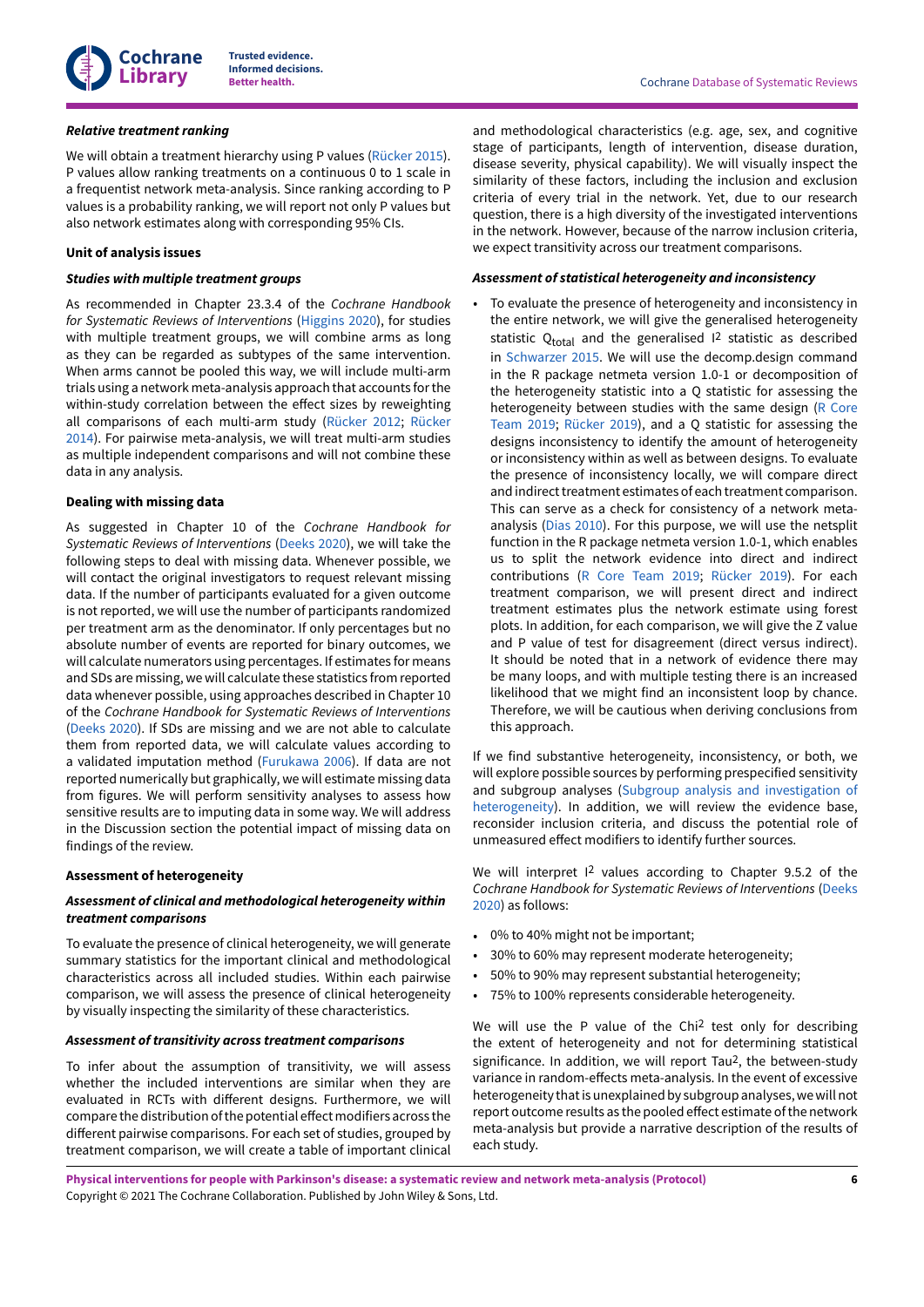

#### *Relative treatment ranking*

We will obtain a treatment hierarchy using P values ([Rücker](#page-11-14) 2015). P values allow ranking treatments on a continuous 0 to 1 scale in a frequentist network meta-analysis. Since ranking according to P values is a probability ranking, we will report not only P values but also network estimates along with corresponding 95% CIs.

## **Unit of analysis issues**

## *Studies with multiple treatment groups*

As recommended in Chapter 23.3.4 of the *Cochrane Handbook for Systematic Reviews of Interventions* ([Higgins 2020\)](#page-9-16), for studies with multiple treatment groups, we will combine arms as long as they can be regarded as subtypes of the same intervention. When arms cannot be pooled this way, we will include multi-arm trials using a network meta-analysis approach that accounts forthe within-study correlation between the effect sizes by reweighting all comparisons of each multi-arm study [\(Rücker](#page-11-15) 2012; [Rücker](#page-11-16) [2014](#page-11-16)). For pairwise meta-analysis, we will treat multi-arm studies as multiple independent comparisons and will not combine these data in any analysis.

## **Dealing with missing data**

As suggested in Chapter 10 of the *Cochrane Handbook for Systematic Reviews of Interventions* [\(Deeks 2020](#page-9-17)), we will take the following steps to deal with missing data. Whenever possible, we will contact the original investigators to request relevant missing data. If the number of participants evaluated for a given outcome is not reported, we will use the number of participants randomized per treatment arm as the denominator. If only percentages but no absolute number of events are reported for binary outcomes, we will calculate numerators using percentages. If estimates for means and SDs are missing, we will calculate these statistics from reported data whenever possible, using approaches described in Chapter 10 of the *Cochrane Handbook for Systematic Reviews of Interventions* [\(Deeks 2020](#page-9-17)). If SDs are missing and we are not able to calculate them from reported data, we will calculate values according to a validated imputation method ([Furukawa](#page-9-18) 2006). If data are not reported numerically but graphically, we will estimate missing data from figures. We will perform sensitivity analyses to assess how sensitive results are to imputing data in some way. We will address in the Discussion section the potential impact of missing data on findings of the review.

## **Assessment of heterogeneity**

## *Assessment of clinical and methodological heterogeneity within treatment comparisons*

To evaluate the presence of clinical heterogeneity, we will generate summary statistics for the important clinical and methodological characteristics across all included studies. Within each pairwise comparison, we will assess the presence of clinical heterogeneity by visually inspecting the similarity of these characteristics.

#### *Assessment of transitivity across treatment comparisons*

To infer about the assumption of transitivity, we will assess whether the included interventions are similar when they are evaluated in RCTs with different designs. Furthermore, we will compare the distribution of the potential effect modifiers across the different pairwise comparisons. For each set of studies, grouped by treatment comparison, we will create a table of important clinical

and methodological characteristics (e.g. age, sex, and cognitive stage of participants, length of intervention, disease duration, disease severity, physical capability). We will visually inspect the similarity of these factors, including the inclusion and exclusion criteria of every trial in the network. Yet, due to our research question, there is a high diversity of the investigated interventions in the network. However, because of the narrow inclusion criteria, we expect transitivity across our treatment comparisons.

#### *Assessment of statistical heterogeneity and inconsistency*

• To evaluate the presence of heterogeneity and inconsistency in the entire network, we will give the generalised heterogeneity statistic  $Q_{total}$  and the generalised  $I^2$  statistic as described in [Schwarzer](#page-11-17) 2015. We will use the decomp.design command in the R package netmeta version 1.0-1 or decomposition of the heterogeneity statistic into a Q statistic for assessing the heterogeneity between studies with the same design (R [Core](#page-11-18) [Team](#page-11-18) 2019; [Rücker](#page-11-19) 2019), and a Q statistic for assessing the designs inconsistency to identify the amount of heterogeneity or inconsistency within as well as between designs. To evaluate the presence of inconsistency locally, we will compare direct and indirect treatment estimates of each treatment comparison. This can serve as a check for consistency of a network metaanalysis ([Dias 2010](#page-9-19)). For this purpose, we will use the netsplit function in the R package netmeta version 1.0-1, which enables us to split the network evidence into direct and indirect contributions (R Core [Team](#page-11-18) 2019; [Rücker](#page-11-19) 2019). For each treatment comparison, we will present direct and indirect treatment estimates plus the network estimate using forest plots. In addition, for each comparison, we will give the Z value and P value of test for disagreement (direct versus indirect). It should be noted that in a network of evidence there may be many loops, and with multiple testing there is an increased likelihood that we might find an inconsistent loop by chance. Therefore, we will be cautious when deriving conclusions from this approach.

If we find substantive heterogeneity, inconsistency, or both, we will explore possible sources by performing prespecified sensitivity and subgroup analyses (Subgroup analysis and [investigation](#page-8-1) of [heterogeneity](#page-8-1)). In addition, we will review the evidence base, reconsider inclusion criteria, and discuss the potential role of unmeasured effect modifiers to identify further sources.

We will interpret I<sup>2</sup> values according to Chapter 9.5.2 of the *Cochrane Handbook for Systematic Reviews of Interventions* [\(Deeks](#page-9-17) [2020\)](#page-9-17) as follows:

- 0% to 40% might not be important;
- 30% to 60% may represent moderate heterogeneity;
- 50% to 90% may represent substantial heterogeneity;
- 75% to 100% represents considerable heterogeneity.

We will use the P value of the Chi<sup>2</sup> test only for describing the extent of heterogeneity and not for determining statistical significance. In addition, we will report Tau2, the between-study variance in random-effects meta-analysis. In the event of excessive heterogeneity that is unexplained by subgroup analyses, we will not report outcome results as the pooled effect estimate of the network meta-analysis but provide a narrative description of the results of each study.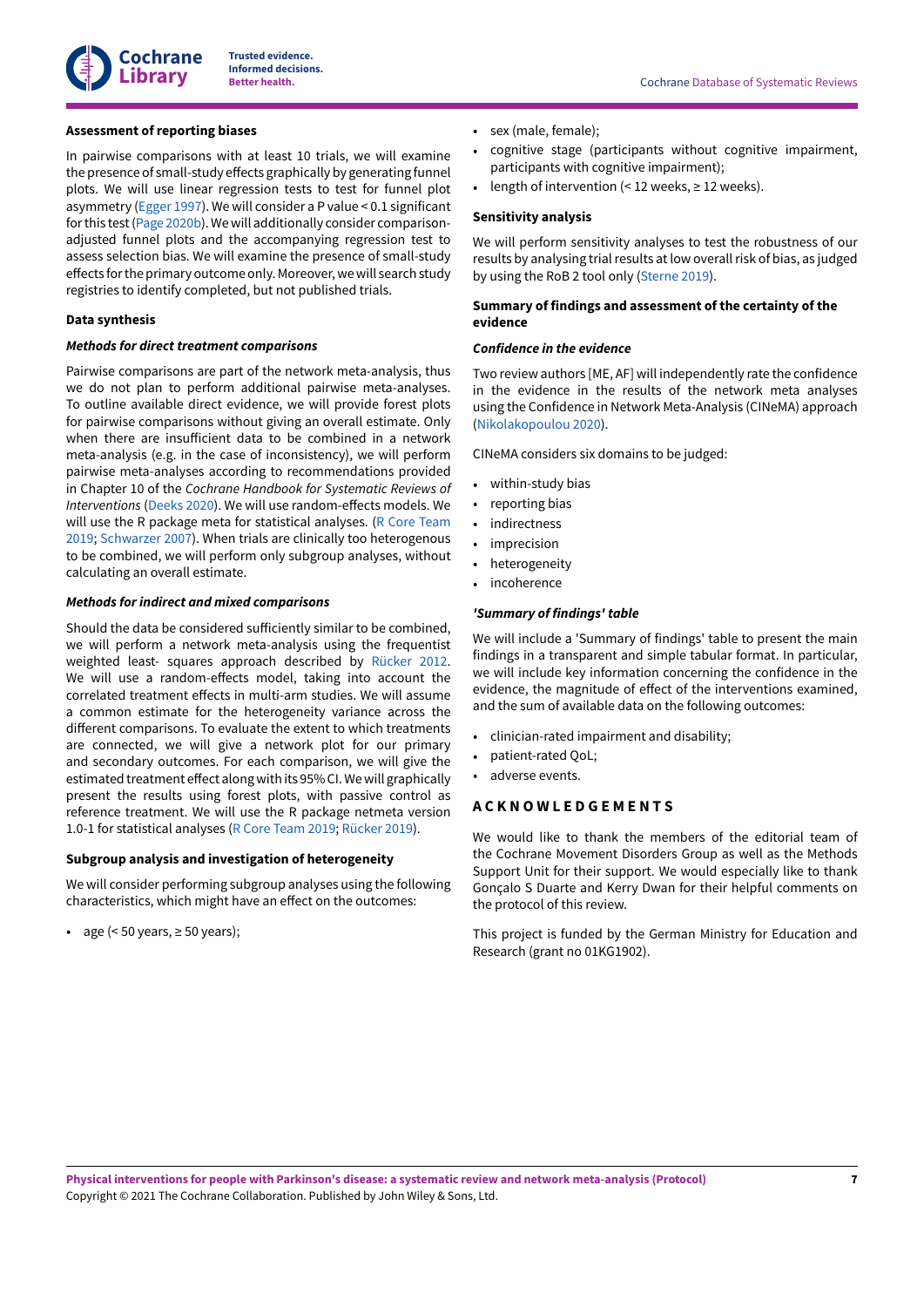

## **Assessment of reporting biases**

In pairwise comparisons with at least 10 trials, we will examine the presence of small-study effects graphically by generating funnel plots. We will use linear regression tests to test for funnel plot asymmetry [\(Egger](#page-9-20) 1997). We will consider a P value < 0.1 significant forthis test(Page [2020b\)](#page-10-16).Wewill additionally consider comparisonadjusted funnel plots and the accompanying regression test to assess selection bias. We will examine the presence of small-study effects for the primary outcome only. Moreover, we will search study registries to identify completed, but not published trials.

## **Data synthesis**

#### *Methods for direct treatment comparisons*

Pairwise comparisons are part of the network meta-analysis, thus we do not plan to perform additional pairwise meta-analyses. To outline available direct evidence, we will provide forest plots for pairwise comparisons without giving an overall estimate. Only when there are insufficient data to be combined in a network meta-analysis (e.g. in the case of inconsistency), we will perform pairwise meta-analyses according to recommendations provided in Chapter 10 of the *Cochrane Handbook for Systematic Reviews of Interventions* [\(Deeks 2020\)](#page-9-17). We will use random-effects models. We will use the R package meta for statistical analyses. (R Core [Team](#page-11-18) [2019](#page-11-18); [Schwarzer](#page-11-20) 2007). When trials are clinically too heterogenous to be combined, we will perform only subgroup analyses, without calculating an overall estimate.

## *Methods for indirect and mixed comparisons*

Should the data be considered sufficiently similar to be combined, we will perform a network meta-analysis using the frequentist weighted least- squares approach described by [Rücker](#page-11-15) 2012. We will use a random-effects model, taking into account the correlated treatment effects in multi-arm studies. We will assume a common estimate for the heterogeneity variance across the different comparisons. To evaluate the extent to which treatments are connected, we will give a network plot for our primary and secondary outcomes. For each comparison, we will give the estimated treatment effect along with its 95% CI. We will graphically present the results using forest plots, with passive control as reference treatment. We will use the R package netmeta version 1.0-1 for statistical analyses (R Core [Team](#page-11-18) 2019; [Rücker](#page-11-19) 2019).

## <span id="page-8-1"></span>**Subgroup analysis and investigation of heterogeneity**

We will consider performing subgroup analyses using the following characteristics, which might have an effect on the outcomes:

• age  $( $50 \text{ years}, \geq 50 \text{ years}$ );$ 

- sex (male, female);
- cognitive stage (participants without cognitive impairment, participants with cognitive impairment);
- length of intervention  $($  < 12 weeks,  $\geq$  12 weeks).

### **Sensitivity analysis**

We will perform sensitivity analyses to test the robustness of our results by analysing trial results at low overall risk of bias, as judged by using the RoB 2 tool only ([Sterne](#page-11-13) 2019).

#### **Summary of findings and assessment of the certainty of the evidence**

#### *Confidence in the evidence*

Two review authors [ME, AF] will independently rate the confidence in the evidence in the results of the network meta analyses using the Confidence in Network Meta-Analysis (CINeMA) approach [\(Nikolakopoulou](#page-10-17) 2020).

CINeMA considers six domains to be judged:

- within-study bias
- reporting bias
- indirectness
- imprecision
- heterogeneity
- incoherence

#### *'Summary of findings' table*

We will include a 'Summary of findings' table to present the main findings in a transparent and simple tabular format. In particular, we will include key information concerning the confidence in the evidence, the magnitude of effect of the interventions examined, and the sum of available data on the following outcomes:

- clinician-rated impairment and disability;
- patient-rated QoL;
- adverse events.

# <span id="page-8-0"></span>**A C K N O W L E D G E M E N T S**

We would like to thank the members of the editorial team of the Cochrane Movement Disorders Group as well as the Methods Support Unit for their support. We would especially like to thank Gonçalo S Duarte and Kerry Dwan for their helpful comments on the protocol of this review.

This project is funded by the German Ministry for Education and Research (grant no 01KG1902).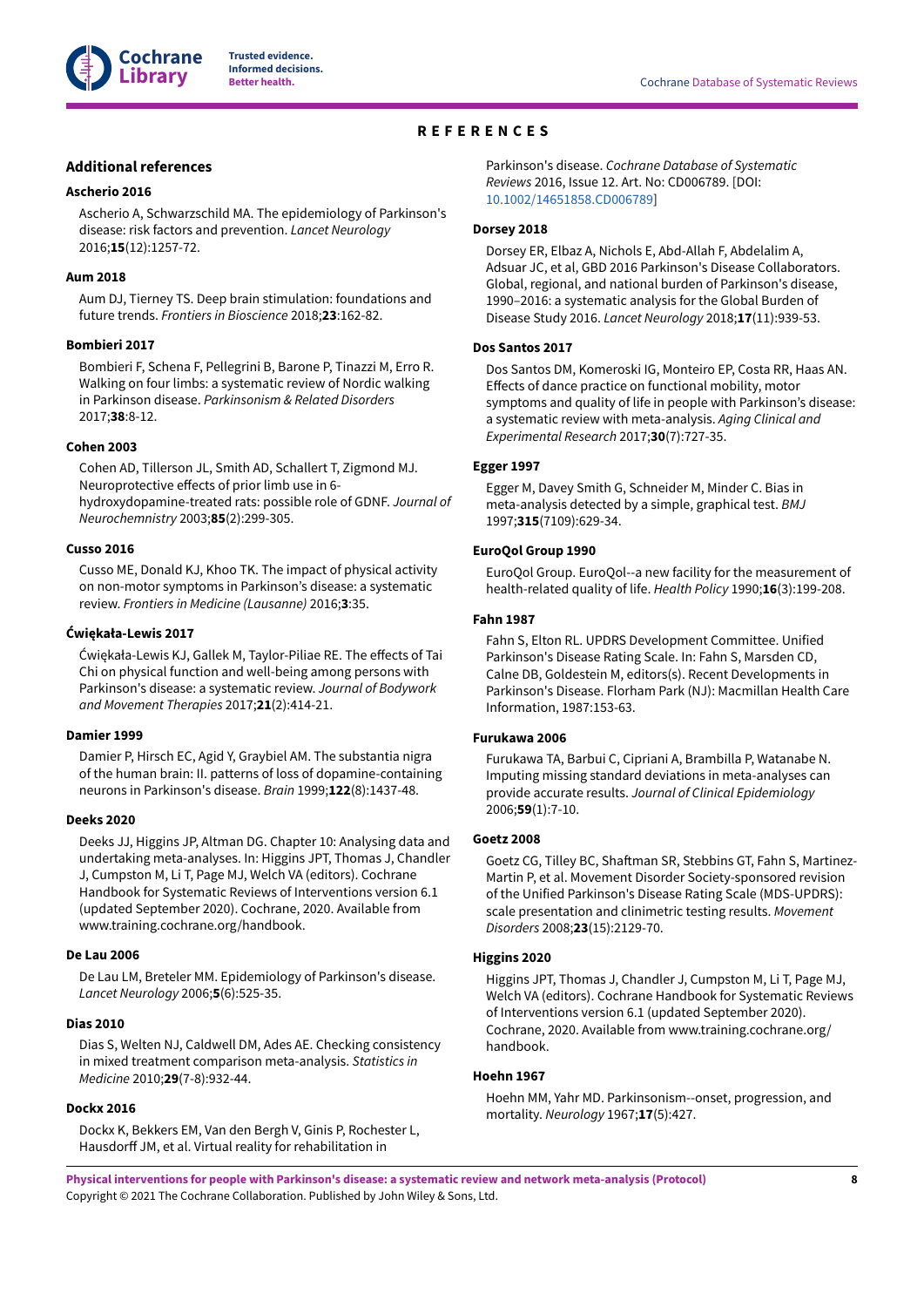

# **REFERENCES**

# <span id="page-9-0"></span>**Additional references**

#### <span id="page-9-3"></span>**Ascherio 2016**

Ascherio A, Schwarzschild MA. The epidemiology of Parkinson's disease: risk factors and prevention. *Lancet Neurology* 2016;**15**(12):1257-72.

#### <span id="page-9-5"></span>**Aum 2018**

Aum DJ, Tierney TS. Deep brain stimulation: foundations and future trends. *Frontiers in Bioscience* 2018;**23**:162-82.

#### <span id="page-9-6"></span>**Bombieri 2017**

Bombieri F, Schena F, Pellegrini B, Barone P, Tinazzi M, Erro R. Walking on four limbs: a systematic review of Nordic walking in Parkinson disease. *Parkinsonism & Related Disorders* 2017;**38**:8-12.

#### <span id="page-9-9"></span>**Cohen 2003**

Cohen AD, Tillerson JL, Smith AD, Schallert T, Zigmond MJ. Neuroprotective effects of prior limb use in 6hydroxydopamine-treated rats: possible role of GDNF. *Journal of Neurochemnistry* 2003;**85**(2):299-305.

#### <span id="page-9-8"></span>**Cusso 2016**

Cusso ME, Donald KJ, Khoo TK. The impact of physical activity on non-motor symptoms in Parkinson's disease: a systematic review. *Frontiers in Medicine (Lausanne)* 2016;**3**:35.

#### <span id="page-9-7"></span>**Ćwiękała-Lewis 2017**

Ćwiękała-Lewis KJ, Gallek M, Taylor-Piliae RE. The effects of Tai Chi on physical function and well-being among persons with Parkinson's disease: a systematic review. *Journal of Bodywork and Movement Therapies* 2017;**21**(2):414-21.

#### <span id="page-9-2"></span>**Damier 1999**

Damier P, Hirsch EC, Agid Y, Graybiel AM. The substantia nigra of the human brain: II. patterns of loss of dopamine-containing neurons in Parkinson's disease. *Brain* 1999;**122**(8):1437-48.

#### <span id="page-9-17"></span>**Deeks 2020**

Deeks JJ, Higgins JP, Altman DG. Chapter 10: Analysing data and undertaking meta-analyses. In: Higgins JPT, Thomas J, Chandler J, Cumpston M, Li T, Page MJ, Welch VA (editors). Cochrane Handbook for Systematic Reviews of Interventions version 6.1 (updated September 2020). Cochrane, 2020. Available from www.training.cochrane.org/handbook.

#### <span id="page-9-1"></span>**De Lau 2006**

De Lau LM, Breteler MM. Epidemiology of Parkinson's disease. *Lancet Neurology* 2006;**5**(6):525-35.

#### <span id="page-9-19"></span>**Dias 2010**

Dias S, Welten NJ, Caldwell DM, Ades AE. Checking consistency in mixed treatment comparison meta-analysis. *Statistics in Medicine* 2010;**29**(7-8):932-44.

#### <span id="page-9-10"></span>**Dockx 2016**

Dockx K, Bekkers EM, Van den Bergh V, Ginis P, Rochester L, Hausdorff JM, et al. Virtual reality for rehabilitation in

Parkinson's disease. *Cochrane Database of Systematic Reviews* 2016, Issue 12. Art. No: CD006789. [DOI: [10.1002/14651858.CD006789\]](https://doi.org/10.1002%2F14651858.CD006789)

#### <span id="page-9-4"></span>**Dorsey 2018**

Dorsey ER, Elbaz A, Nichols E, Abd-Allah F, Abdelalim A, Adsuar JC, et al, GBD 2016 Parkinson's Disease Collaborators. Global, regional, and national burden of Parkinson's disease, 1990–2016: a systematic analysis for the Global Burden of Disease Study 2016. *Lancet Neurology* 2018;**17**(11):939-53.

#### <span id="page-9-11"></span>**Dos Santos 2017**

Dos Santos DM, Komeroski IG, Monteiro EP, Costa RR, Haas AN. Effects of dance practice on functional mobility, motor symptoms and quality of life in people with Parkinson's disease: a systematic review with meta-analysis. *Aging Clinical and Experimental Research* 2017;**30**(7):727-35.

## <span id="page-9-20"></span>**Egger 1997**

Egger M, Davey Smith G, Schneider M, Minder C. Bias in meta-analysis detected by a simple, graphical test. *BMJ* 1997;**315**(7109):629-34.

#### <span id="page-9-15"></span>**EuroQol Group 1990**

EuroQol Group. EuroQol--a new facility for the measurement of health-related quality of life. *Health Policy* 1990;**16**(3):199-208.

## <span id="page-9-13"></span>**Fahn 1987**

Fahn S, Elton RL. UPDRS Development Committee. Unified Parkinson's Disease Rating Scale. In: Fahn S, Marsden CD, Calne DB, Goldestein M, editors(s). Recent Developments in Parkinson's Disease. Florham Park (NJ): Macmillan Health Care Information, 1987:153-63.

## <span id="page-9-18"></span>**Furukawa 2006**

Furukawa TA, Barbui C, Cipriani A, Brambilla P, Watanabe N. Imputing missing standard deviations in meta-analyses can provide accurate results. *Journal of Clinical Epidemiology* 2006;**59**(1):7-10.

#### <span id="page-9-12"></span>**Goetz 2008**

Goetz CG, Tilley BC, Shaftman SR, Stebbins GT, Fahn S, Martinez-Martin P, et al. Movement Disorder Society-sponsored revision of the Unified Parkinson's Disease Rating Scale (MDS-UPDRS): scale presentation and clinimetric testing results. *Movement Disorders* 2008;**23**(15):2129-70.

## <span id="page-9-16"></span>**Higgins 2020**

Higgins JPT, Thomas J, Chandler J, Cumpston M, Li T, Page MJ, Welch VA (editors). Cochrane Handbook for Systematic Reviews of Interventions version 6.1 (updated September 2020). Cochrane, 2020. Available from www.training.cochrane.org/ handbook.

## <span id="page-9-14"></span>**Hoehn 1967**

Hoehn MM, Yahr MD. Parkinsonism--onset, progression, and mortality. *Neurology* 1967;**17**(5):427.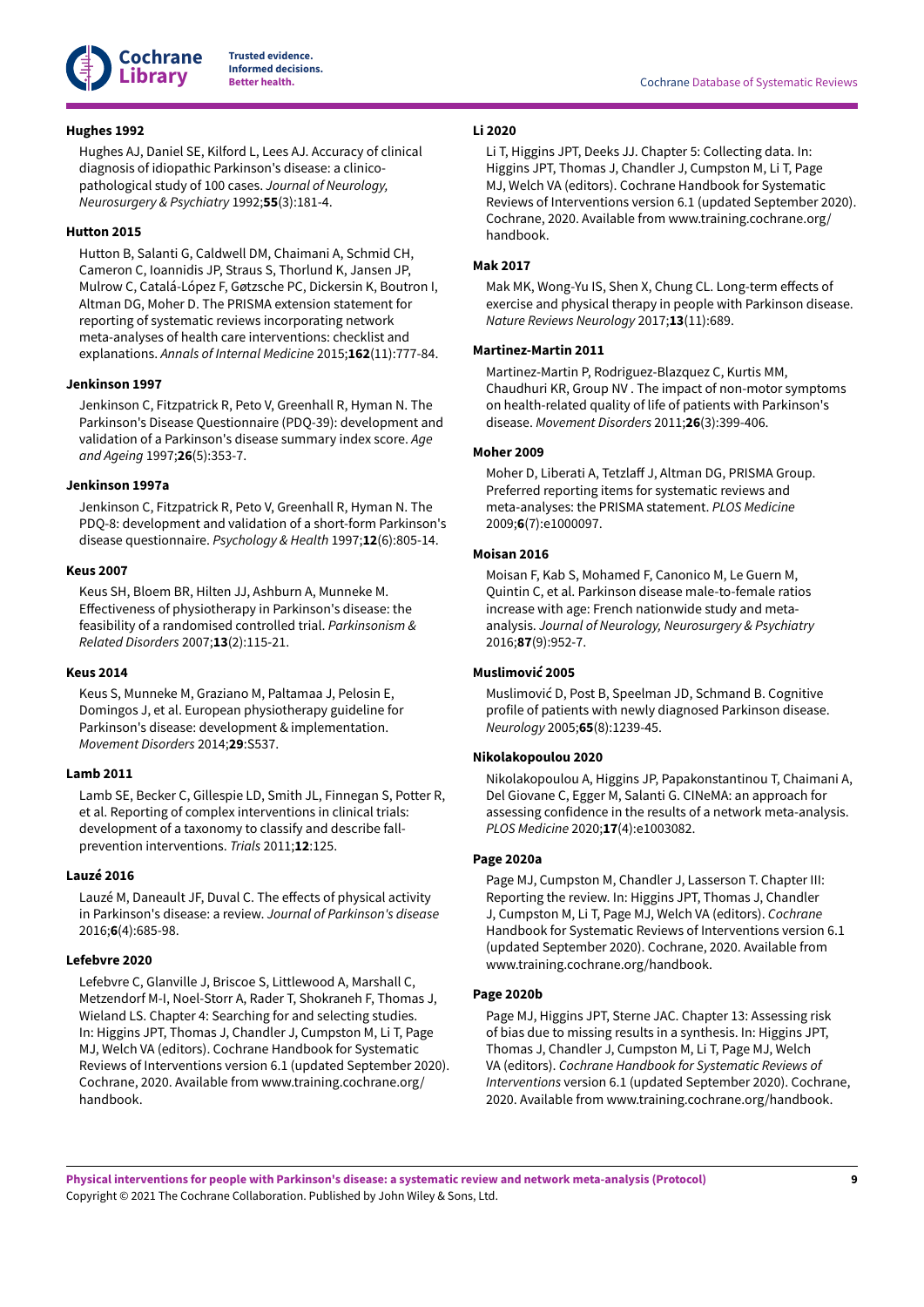

## <span id="page-10-0"></span>**Hughes 1992**

Hughes AJ, Daniel SE, Kilford L, Lees AJ. Accuracy of clinical diagnosis of idiopathic Parkinson's disease: a clinicopathological study of 100 cases. *Journal of Neurology, Neurosurgery & Psychiatry* 1992;**55**(3):181-4.

## <span id="page-10-14"></span>**Hutton 2015**

Hutton B, Salanti G, Caldwell DM, Chaimani A, Schmid CH, Cameron C, Ioannidis JP, Straus S, Thorlund K, Jansen JP, Mulrow C, Catalá-López F, Gøtzsche PC, Dickersin K, Boutron I, Altman DG, Moher D. The PRISMA extension statement for reporting of systematic reviews incorporating network meta-analyses of health care interventions: checklist and explanations. *Annals of Internal Medicine* 2015;**162**(11):777-84.

## <span id="page-10-9"></span>**Jenkinson 1997**

Jenkinson C, Fitzpatrick R, Peto V, Greenhall R, Hyman N. The Parkinson's Disease Questionnaire (PDQ-39): development and validation of a Parkinson's disease summary index score. *Age and Ageing* 1997;**26**(5):353-7.

## <span id="page-10-10"></span>**Jenkinson 1997a**

Jenkinson C, Fitzpatrick R, Peto V, Greenhall R, Hyman N. The PDQ-8: development and validation of a short-form Parkinson's disease questionnaire. *Psychology & Health* 1997;**12**(6):805-14.

## <span id="page-10-1"></span>**Keus 2007**

Keus SH, Bloem BR, Hilten JJ, Ashburn A, Munneke M. Effectiveness of physiotherapy in Parkinson's disease: the feasibility of a randomised controlled trial. *Parkinsonism & Related Disorders* 2007;**13**(2):115-21.

## <span id="page-10-5"></span>**Keus 2014**

Keus S, Munneke M, Graziano M, Paltamaa J, Pelosin E, Domingos J, et al. European physiotherapy guideline for Parkinson's disease: development & implementation. *Movement Disorders* 2014;**29**:S537.

## <span id="page-10-8"></span>**Lamb 2011**

Lamb SE, Becker C, Gillespie LD, Smith JL, Finnegan S, Potter R, et al. Reporting of complex interventions in clinical trials: development of a taxonomy to classify and describe fallprevention interventions. *Trials* 2011;**12**:125.

# <span id="page-10-6"></span>**Lauzé 2016**

Lauzé M, Daneault JF, Duval C. The effects of physical activity in Parkinson's disease: a review. *Journal of Parkinson's disease* 2016;**6**(4):685-98.

## <span id="page-10-11"></span>**Lefebvre 2020**

Lefebvre C, Glanville J, Briscoe S, Littlewood A, Marshall C, Metzendorf M-I, Noel-Storr A, Rader T, Shokraneh F, Thomas J, Wieland LS. Chapter 4: Searching for and selecting studies. In: Higgins JPT, Thomas J, Chandler J, Cumpston M, Li T, Page MJ, Welch VA (editors). Cochrane Handbook for Systematic Reviews of Interventions version 6.1 (updated September 2020). Cochrane, 2020. Available from www.training.cochrane.org/ handbook.

# <span id="page-10-15"></span>**Li 2020**

Li T, Higgins JPT, Deeks JJ. Chapter 5: Collecting data. In: Higgins JPT, Thomas J, Chandler J, Cumpston M, Li T, Page MJ, Welch VA (editors). Cochrane Handbook for Systematic Reviews of Interventions version 6.1 (updated September 2020). Cochrane, 2020. Available from www.training.cochrane.org/ handbook.

# <span id="page-10-7"></span>**Mak 2017**

Mak MK, Wong-Yu IS, Shen X, Chung CL. Long-term effects of exercise and physical therapy in people with Parkinson disease. *Nature Reviews Neurology* 2017;**13**(11):689.

## <span id="page-10-3"></span>**Martinez-Martin 2011**

Martinez-Martin P, Rodriguez-Blazquez C, Kurtis MM, Chaudhuri KR, Group NV . The impact of non-motor symptoms on health-related quality of life of patients with Parkinson's disease. *Movement Disorders* 2011;**26**(3):399-406.

#### <span id="page-10-12"></span>**Moher 2009**

Moher D, Liberati A, Tetzlaff J, Altman DG, PRISMA Group. Preferred reporting items for systematic reviews and meta-analyses: the PRISMA statement. *PLOS Medicine* 2009;**6**(7):e1000097.

## <span id="page-10-4"></span>**Moisan 2016**

Moisan F, Kab S, Mohamed F, Canonico M, Le Guern M, Quintin C, et al. Parkinson disease male-to-female ratios increase with age: French nationwide study and metaanalysis. *Journal of Neurology, Neurosurgery & Psychiatry* 2016;**87**(9):952-7.

## <span id="page-10-2"></span>**Muslimović 2005**

Muslimović D, Post B, Speelman JD, Schmand B. Cognitive profile of patients with newly diagnosed Parkinson disease. *Neurology* 2005;**65**(8):1239-45.

## <span id="page-10-17"></span>**Nikolakopoulou 2020**

Nikolakopoulou A, Higgins JP, Papakonstantinou T, Chaimani A, Del Giovane C, Egger M, Salanti G. CINeMA: an approach for assessing confidence in the results of a network meta-analysis. *PLOS Medicine* 2020;**17**(4):e1003082.

#### <span id="page-10-13"></span>**Page 2020a**

Page MJ, Cumpston M, Chandler J, Lasserson T. Chapter III: Reporting the review. In: Higgins JPT, Thomas J, Chandler J, Cumpston M, Li T, Page MJ, Welch VA (editors). *Cochrane* Handbook for Systematic Reviews of Interventions version 6.1 (updated September 2020). Cochrane, 2020. Available from www.training.cochrane.org/handbook.

#### <span id="page-10-16"></span>**Page 2020b**

Page MJ, Higgins JPT, Sterne JAC. Chapter 13: Assessing risk of bias due to missing results in a synthesis. In: Higgins JPT, Thomas J, Chandler J, Cumpston M, Li T, Page MJ, Welch VA (editors). *Cochrane Handbook for Systematic Reviews of Interventions* version 6.1 (updated September 2020). Cochrane, 2020. Available from www.training.cochrane.org/handbook.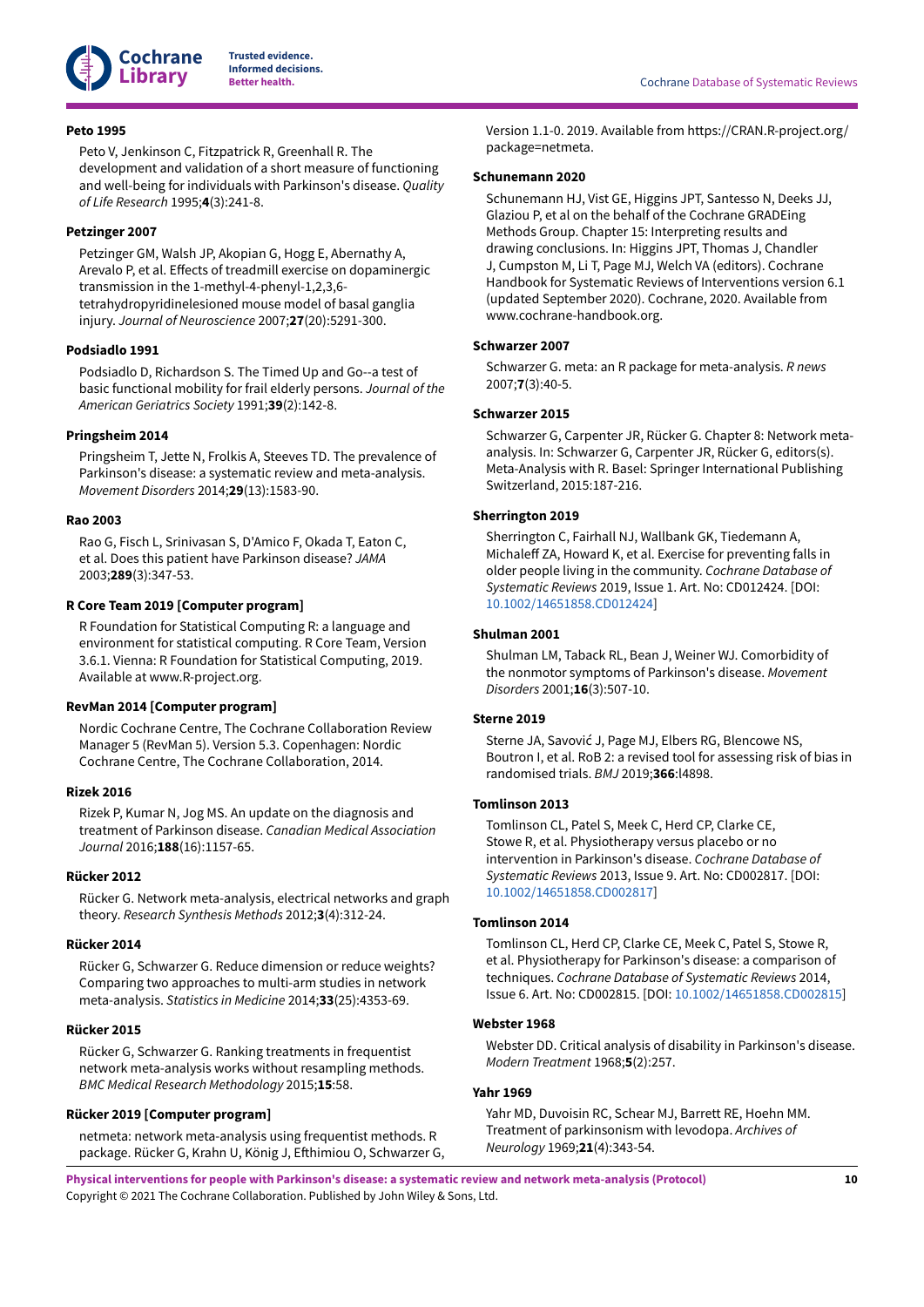

### <span id="page-11-10"></span>**Peto 1995**

Peto V, Jenkinson C, Fitzpatrick R, Greenhall R. The development and validation of a short measure of functioning and well-being for individuals with Parkinson's disease. *Quality of Life Research* 1995;**4**(3):241-8.

# <span id="page-11-5"></span>**Petzinger 2007**

Petzinger GM, Walsh JP, Akopian G, Hogg E, Abernathy A, Arevalo P, et al. Effects of treadmill exercise on dopaminergic transmission in the 1-methyl-4-phenyl-1,2,3,6 tetrahydropyridinelesioned mouse model of basal ganglia injury. *Journal of Neuroscience* 2007;**27**(20):5291-300.

## <span id="page-11-11"></span>**Podsiadlo 1991**

Podsiadlo D, Richardson S. The Timed Up and Go--a test of basic functional mobility for frail elderly persons. *Journal of the American Geriatrics Society* 1991;**39**(2):142-8.

## <span id="page-11-3"></span>**Pringsheim 2014**

Pringsheim T, Jette N, Frolkis A, Steeves TD. The prevalence of Parkinson's disease: a systematic review and meta-analysis. *Movement Disorders* 2014;**29**(13):1583-90.

#### <span id="page-11-1"></span>**Rao 2003**

Rao G, Fisch L, Srinivasan S, D'Amico F, Okada T, Eaton C, et al. Does this patient have Parkinson disease? *JAMA* 2003;**289**(3):347-53.

## <span id="page-11-18"></span>**R Core Team 2019 [Computer program]**

R Foundation for Statistical Computing R: a language and environment for statistical computing. R Core Team, Version 3.6.1. Vienna: R Foundation for Statistical Computing, 2019. Available at www.R-project.org.

#### <span id="page-11-12"></span>**RevMan 2014 [Computer program]**

Nordic Cochrane Centre, The Cochrane Collaboration Review Manager 5 (RevMan 5). Version 5.3. Copenhagen: Nordic Cochrane Centre, The Cochrane Collaboration, 2014.

#### <span id="page-11-2"></span>**Rizek 2016**

Rizek P, Kumar N, Jog MS. An update on the diagnosis and treatment of Parkinson disease. *Canadian Medical Association Journal* 2016;**188**(16):1157-65.

## <span id="page-11-15"></span>**Rücker 2012**

Rücker G. Network meta-analysis, electrical networks and graph theory. *Research Synthesis Methods* 2012;**3**(4):312-24.

## <span id="page-11-16"></span>**Rücker 2014**

Rücker G, Schwarzer G. Reduce dimension or reduce weights? Comparing two approaches to multi-arm studies in network meta-analysis. *Statistics in Medicine* 2014;**33**(25):4353-69.

#### <span id="page-11-14"></span>**Rücker 2015**

Rücker G, Schwarzer G. Ranking treatments in frequentist network meta-analysis works without resampling methods. *BMC Medical Research Methodology* 2015;**15**:58.

## <span id="page-11-19"></span>**Rücker 2019 [Computer program]**

netmeta: network meta-analysis using frequentist methods. R package. Rücker G, Krahn U, König J, Efthimiou O, Schwarzer G, Version 1.1-0. 2019. Available from https://CRAN.R-project.org/ package=netmeta.

#### **Schunemann 2020**

Schunemann HJ, Vist GE, Higgins JPT, Santesso N, Deeks JJ, Glaziou P, et al on the behalf of the Cochrane GRADEing Methods Group. Chapter 15: Interpreting results and drawing conclusions. In: Higgins JPT, Thomas J, Chandler J, Cumpston M, Li T, Page MJ, Welch VA (editors). Cochrane Handbook for Systematic Reviews of Interventions version 6.1 (updated September 2020). Cochrane, 2020. Available from www.cochrane-handbook.org.

#### <span id="page-11-20"></span>**Schwarzer 2007**

Schwarzer G. meta: an R package for meta-analysis. *R news* 2007;**7**(3):40-5.

## <span id="page-11-17"></span>**Schwarzer 2015**

Schwarzer G, Carpenter JR, Rücker G. Chapter 8: Network metaanalysis. In: Schwarzer G, Carpenter JR, Rücker G, editors(s). Meta-Analysis with R. Basel: Springer International Publishing Switzerland, 2015:187-216.

## <span id="page-11-7"></span>**Sherrington 2019**

Sherrington C, Fairhall NJ, Wallbank GK, Tiedemann A, Michaleff ZA, Howard K, et al. Exercise for preventing falls in older people living in the community. *Cochrane Database of Systematic Reviews* 2019, Issue 1. Art. No: CD012424. [DOI: [10.1002/14651858.CD012424\]](https://doi.org/10.1002%2F14651858.CD012424)

#### <span id="page-11-0"></span>**Shulman 2001**

Shulman LM, Taback RL, Bean J, Weiner WJ. Comorbidity of the nonmotor symptoms of Parkinson's disease. *Movement Disorders* 2001;**16**(3):507-10.

## <span id="page-11-13"></span>**Sterne 2019**

Sterne JA, Savović J, Page MJ, Elbers RG, Blencowe NS, Boutron I, et al. RoB 2: a revised tool for assessing risk of bias in randomised trials. *BMJ* 2019;**366**:l4898.

#### <span id="page-11-4"></span>**Tomlinson 2013**

Tomlinson CL, Patel S, Meek C, Herd CP, Clarke CE, Stowe R, et al. Physiotherapy versus placebo or no intervention in Parkinson's disease. *Cochrane Database of Systematic Reviews* 2013, Issue 9. Art. No: CD002817. [DOI: [10.1002/14651858.CD002817\]](https://doi.org/10.1002%2F14651858.CD002817)

## <span id="page-11-6"></span>**Tomlinson 2014**

Tomlinson CL, Herd CP, Clarke CE, Meek C, Patel S, Stowe R, et al. Physiotherapy for Parkinson's disease: a comparison of techniques. *Cochrane Database of Systematic Reviews* 2014, Issue 6. Art. No: CD002815. [DOI: [10.1002/14651858.CD002815\]](https://doi.org/10.1002%2F14651858.CD002815)

#### <span id="page-11-8"></span>**Webster 1968**

Webster DD. Critical analysis of disability in Parkinson's disease. *Modern Treatment* 1968;**5**(2):257.

## <span id="page-11-9"></span>**Yahr 1969**

Yahr MD, Duvoisin RC, Schear MJ, Barrett RE, Hoehn MM. Treatment of parkinsonism with levodopa. *Archives of Neurology* 1969;**21**(4):343-54.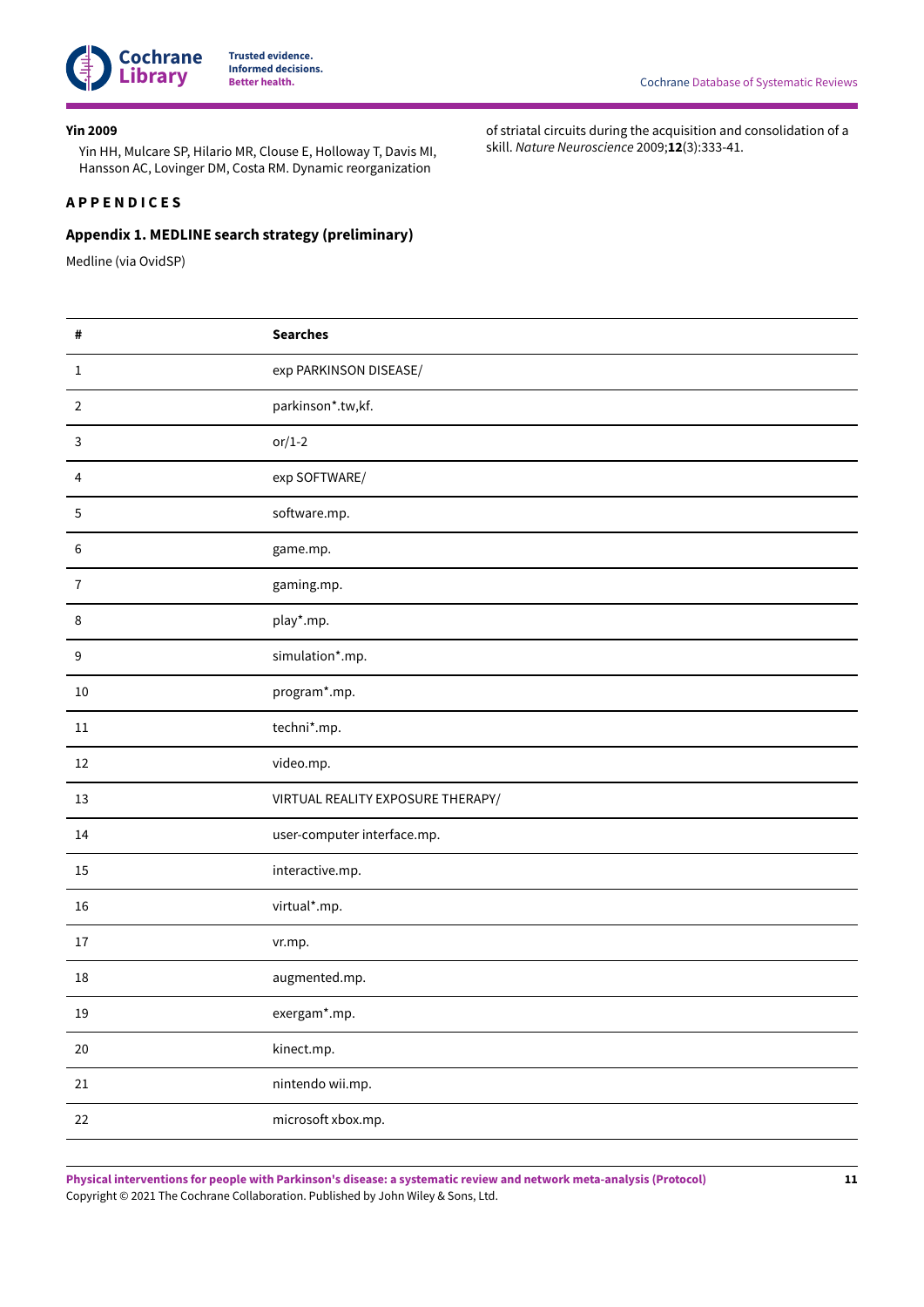

#### <span id="page-12-1"></span>**Yin 2009**

Yin HH, Mulcare SP, Hilario MR, Clouse E, Holloway T, Davis MI, Hansson AC, Lovinger DM, Costa RM. Dynamic reorganization

# <span id="page-12-0"></span>**A P P E N D I C E S**

# <span id="page-12-2"></span>**Appendix 1. MEDLINE search strategy (preliminary)**

Medline (via OvidSP)

of striatal circuits during the acquisition and consolidation of a skill. *Nature Neuroscience* 2009;**12**(3):333-41.

| #                | <b>Searches</b>                   |
|------------------|-----------------------------------|
| $\mathbf{1}$     | exp PARKINSON DISEASE/            |
| $\overline{2}$   | parkinson*.tw,kf.                 |
| 3                | $or/1-2$                          |
| 4                | exp SOFTWARE/                     |
| 5                | software.mp.                      |
| 6                | game.mp.                          |
| $\overline{7}$   | gaming.mp.                        |
| $\,8\,$          | play*.mp.                         |
| $\boldsymbol{9}$ | simulation*.mp.                   |
| 10               | program*.mp.                      |
| $11\,$           | techni*.mp.                       |
| 12               | video.mp.                         |
| 13               | VIRTUAL REALITY EXPOSURE THERAPY/ |
| 14               | user-computer interface.mp.       |
| 15               | interactive.mp.                   |
| 16               | virtual*.mp.                      |
| 17               | vr.mp.                            |
| 18               | augmented.mp.                     |
| 19               | exergam*.mp.                      |
| $20\,$           | kinect.mp.                        |
| $21\,$           | nintendo wii.mp.                  |
| 22               | microsoft xbox.mp.                |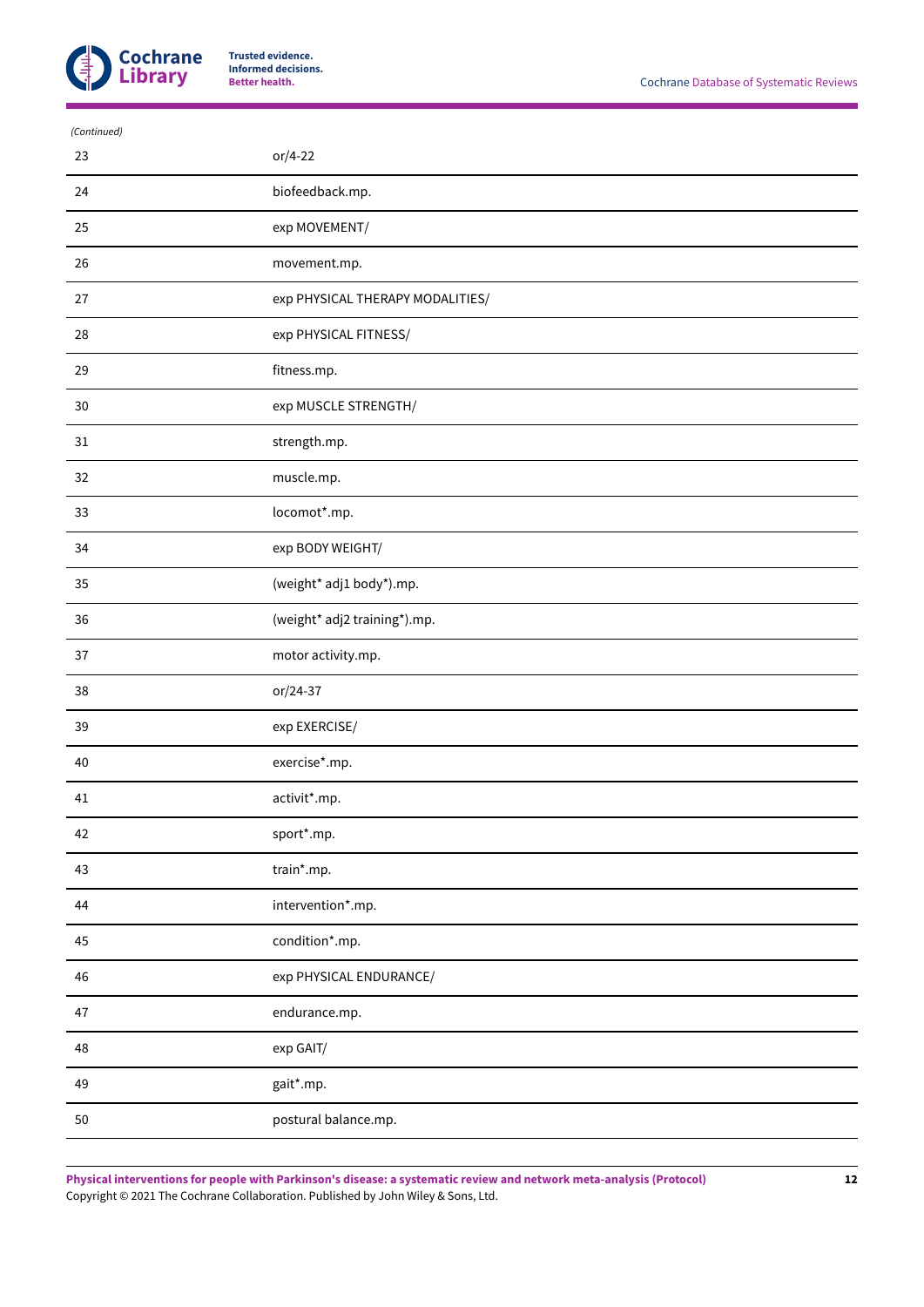

| or/4-22                          |
|----------------------------------|
| biofeedback.mp.                  |
| exp MOVEMENT/                    |
| movement.mp.                     |
| exp PHYSICAL THERAPY MODALITIES/ |
| exp PHYSICAL FITNESS/            |
| fitness.mp.                      |
| exp MUSCLE STRENGTH/             |
| strength.mp.                     |
| muscle.mp.                       |
| locomot*.mp.                     |
| exp BODY WEIGHT/                 |
| (weight* adj1 body*).mp.         |
| (weight* adj2 training*).mp.     |
| motor activity.mp.               |
| or/24-37                         |
| exp EXERCISE/                    |
| exercise*.mp.                    |
| activit*.mp.                     |
| sport*.mp.                       |
| train*.mp.                       |
| intervention*.mp.                |
| condition*.mp.                   |
| exp PHYSICAL ENDURANCE/          |
| endurance.mp.                    |
| exp GAIT/                        |
| gait*.mp.                        |
| postural balance.mp.             |
|                                  |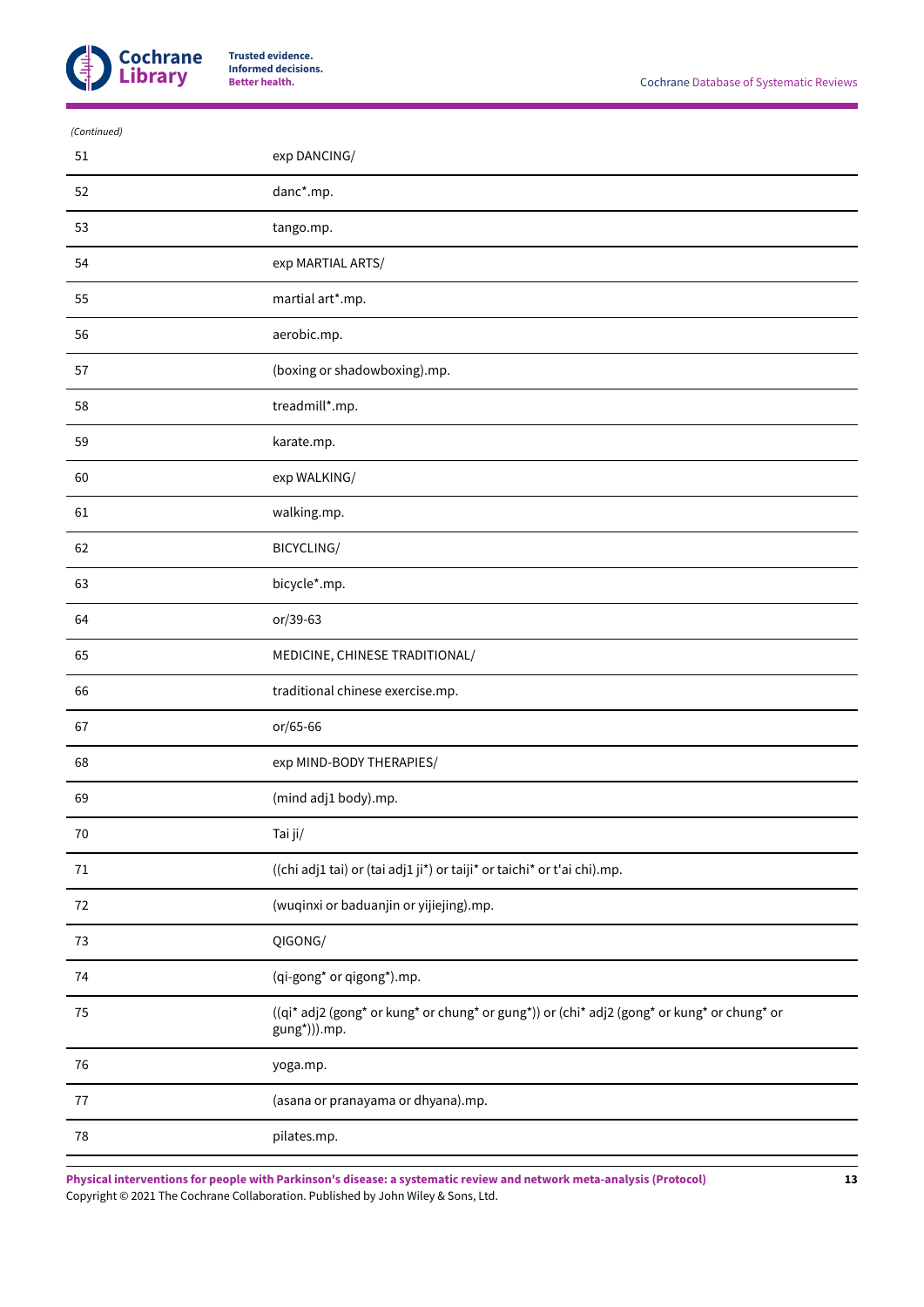

| (Continued) |                                                                                                            |
|-------------|------------------------------------------------------------------------------------------------------------|
| 51          | exp DANCING/                                                                                               |
| 52          | danc*.mp.                                                                                                  |
| 53          | tango.mp.                                                                                                  |
| 54          | exp MARTIAL ARTS/                                                                                          |
| 55          | martial art*.mp.                                                                                           |
| 56          | aerobic.mp.                                                                                                |
| 57          | (boxing or shadowboxing).mp.                                                                               |
| 58          | treadmill*.mp.                                                                                             |
| 59          | karate.mp.                                                                                                 |
| 60          | exp WALKING/                                                                                               |
| 61          | walking.mp.                                                                                                |
| 62          | BICYCLING/                                                                                                 |
| 63          | bicycle*.mp.                                                                                               |
| 64          | or/39-63                                                                                                   |
| 65          | MEDICINE, CHINESE TRADITIONAL/                                                                             |
| 66          | traditional chinese exercise.mp.                                                                           |
| 67          | or/65-66                                                                                                   |
| 68          | exp MIND-BODY THERAPIES/                                                                                   |
| 69          | (mind adj1 body).mp.                                                                                       |
| $70\,$      | Tai ji/                                                                                                    |
| 71          | ((chi adj1 tai) or (tai adj1 ji*) or taiji* or taichi* or t'ai chi).mp.                                    |
| 72          | (wuqinxi or baduanjin or yijiejing).mp.                                                                    |
| $73\,$      | QIGONG/                                                                                                    |
| 74          | (qi-gong* or qigong*).mp.                                                                                  |
| $75\,$      | ((qi* adj2 (gong* or kung* or chung* or gung*)) or (chi* adj2 (gong* or kung* or chung* or<br>gung*))).mp. |
| 76          | yoga.mp.                                                                                                   |
| 77          | (asana or pranayama or dhyana).mp.                                                                         |
| 78          | pilates.mp.                                                                                                |
|             |                                                                                                            |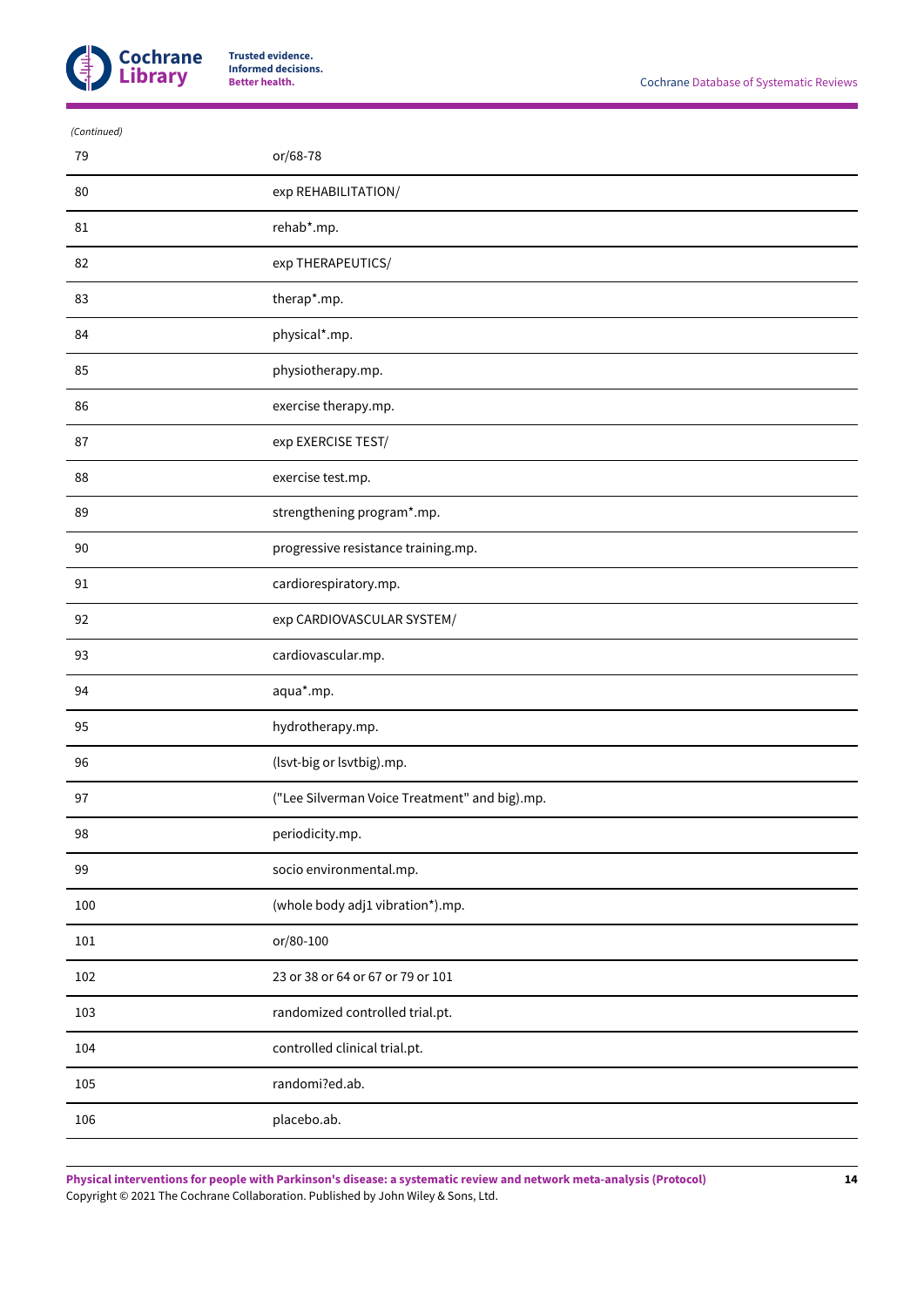

| (Continued) |                                               |
|-------------|-----------------------------------------------|
| 79          | or/68-78                                      |
| 80          | exp REHABILITATION/                           |
| 81          | rehab*.mp.                                    |
| 82          | exp THERAPEUTICS/                             |
| 83          | therap*.mp.                                   |
| 84          | physical*.mp.                                 |
| 85          | physiotherapy.mp.                             |
| 86          | exercise therapy.mp.                          |
| 87          | exp EXERCISE TEST/                            |
| 88          | exercise test.mp.                             |
| 89          | strengthening program*.mp.                    |
| 90          | progressive resistance training.mp.           |
| 91          | cardiorespiratory.mp.                         |
| 92          | exp CARDIOVASCULAR SYSTEM/                    |
| 93          | cardiovascular.mp.                            |
| 94          | aqua*.mp.                                     |
| 95          | hydrotherapy.mp.                              |
| 96          | (Isvt-big or lsvtbig).mp.                     |
| 97          | ("Lee Silverman Voice Treatment" and big).mp. |
| 98          | periodicity.mp.                               |
| 99          | socio environmental.mp.                       |
| 100         | (whole body adj1 vibration*).mp.              |
| 101         | or/80-100                                     |
| 102         | 23 or 38 or 64 or 67 or 79 or 101             |
| 103         | randomized controlled trial.pt.               |
| 104         | controlled clinical trial.pt.                 |
| 105         | randomi?ed.ab.                                |
| 106         | placebo.ab.                                   |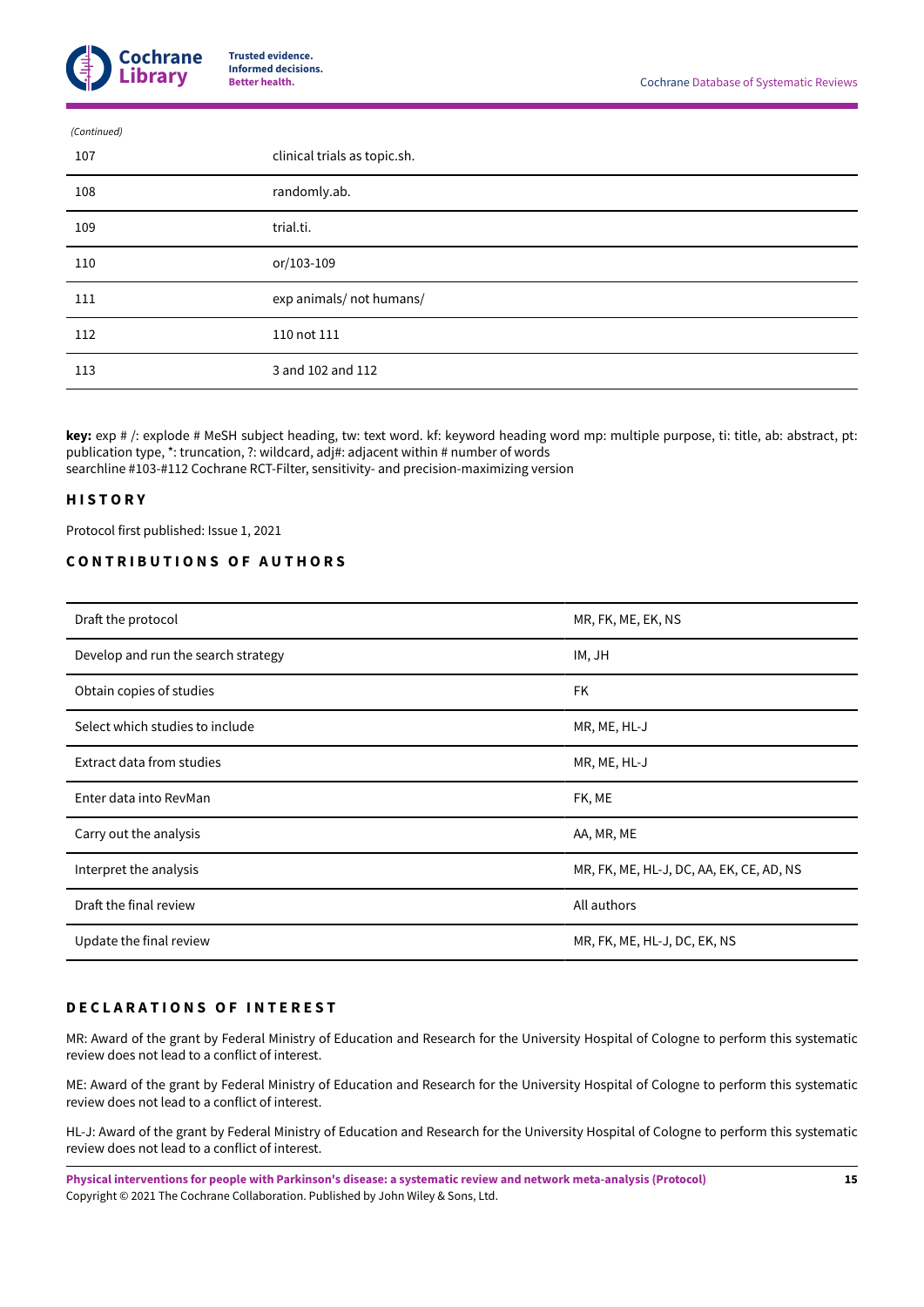

| (Continued) |                              |
|-------------|------------------------------|
| 107         | clinical trials as topic.sh. |
| 108         | randomly.ab.                 |
| 109         | trial.ti.                    |
| 110         | or/103-109                   |
| 111         | exp animals/ not humans/     |
| 112         | 110 not 111                  |
| 113         | 3 and 102 and 112            |
|             |                              |

**key:** exp # /: explode # MeSH subject heading, tw: text word. kf: keyword heading word mp: multiple purpose, ti: title, ab: abstract, pt: publication type, \*: truncation, ?: wildcard, adj#: adjacent within # number of words searchline #103-#112 Cochrane RCT-Filter, sensitivity- and precision-maximizing version

# <span id="page-16-0"></span>**H I S T O R Y**

Protocol first published: Issue 1, 2021

# <span id="page-16-1"></span>**C O N T R I B U T I O N S O F A U T H O R S**

| Draft the protocol                  | MR, FK, ME, EK, NS                       |
|-------------------------------------|------------------------------------------|
| Develop and run the search strategy | IM, JH                                   |
| Obtain copies of studies            | FK                                       |
| Select which studies to include     | MR, ME, HL-J                             |
| Extract data from studies           | MR, ME, HL-J                             |
| Enter data into RevMan              | FK, ME                                   |
| Carry out the analysis              | AA, MR, ME                               |
| Interpret the analysis              | MR, FK, ME, HL-J, DC, AA, EK, CE, AD, NS |
| Draft the final review              | All authors                              |
| Update the final review             | MR, FK, ME, HL-J, DC, EK, NS             |

## <span id="page-16-2"></span>**D E C L A R A T I O N S O F I N T E R E S T**

MR: Award of the grant by Federal Ministry of Education and Research for the University Hospital of Cologne to perform this systematic review does not lead to a conflict of interest.

ME: Award of the grant by Federal Ministry of Education and Research for the University Hospital of Cologne to perform this systematic review does not lead to a conflict of interest.

HL-J: Award of the grant by Federal Ministry of Education and Research for the University Hospital of Cologne to perform this systematic review does not lead to a conflict of interest.

**Physical interventions for people with Parkinson's disease: a systematic review and network meta-analysis (Protocol)** Copyright © 2021 The Cochrane Collaboration. Published by John Wiley & Sons, Ltd.